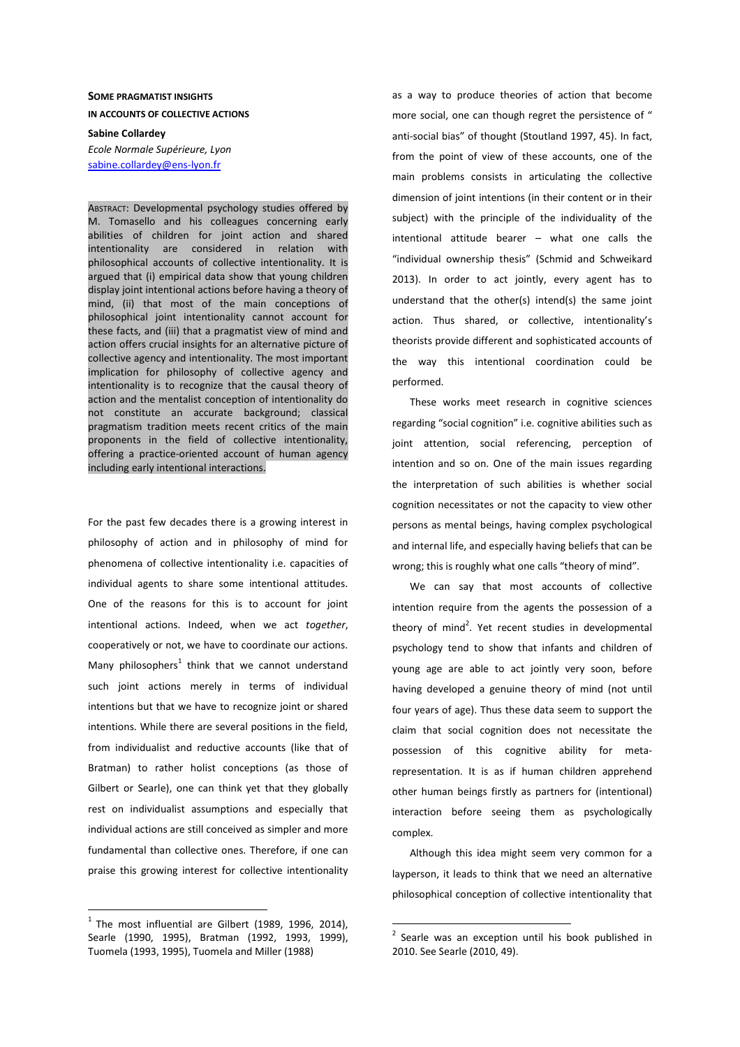# **SOME PRAGMATIST INSIGHTS IN ACCOUNTS OF COLLECTIVE ACTIONS**

**Sabine Collardey**  *Ecole Normale Supérieure, Lyon*  sabine.collardey@ens-lyon.fr

ABSTRACT: Developmental psychology studies offered by M. Tomasello and his colleagues concerning early abilities of children for joint action and shared intentionality are considered in relation with philosophical accounts of collective intentionality. It is argued that (i) empirical data show that young children display joint intentional actions before having a theory of mind, (ii) that most of the main conceptions of philosophical joint intentionality cannot account for these facts, and (iii) that a pragmatist view of mind and action offers crucial insights for an alternative picture of collective agency and intentionality. The most important implication for philosophy of collective agency and intentionality is to recognize that the causal theory of action and the mentalist conception of intentionality do not constitute an accurate background; classical pragmatism tradition meets recent critics of the main proponents in the field of collective intentionality, offering a practice-oriented account of human agency including early intentional interactions.

For the past few decades there is a growing interest in philosophy of action and in philosophy of mind for phenomena of collective intentionality i.e. capacities of individual agents to share some intentional attitudes. One of the reasons for this is to account for joint intentional actions. Indeed, when we act *together*, cooperatively or not, we have to coordinate our actions. Many philosophers<sup>1</sup> think that we cannot understand such joint actions merely in terms of individual intentions but that we have to recognize joint or shared intentions. While there are several positions in the field, from individualist and reductive accounts (like that of Bratman) to rather holist conceptions (as those of Gilbert or Searle), one can think yet that they globally rest on individualist assumptions and especially that individual actions are still conceived as simpler and more fundamental than collective ones. Therefore, if one can praise this growing interest for collective intentionality

 $1$  The most influential are Gilbert (1989, 1996, 2014), Searle (1990, 1995), Bratman (1992, 1993, 1999), Tuomela (1993, 1995), Tuomela and Miller (1988)

 $\overline{a}$ 

as a way to produce theories of action that become more social, one can though regret the persistence of " anti-social bias" of thought (Stoutland 1997, 45). In fact, from the point of view of these accounts, one of the main problems consists in articulating the collective dimension of joint intentions (in their content or in their subject) with the principle of the individuality of the intentional attitude bearer – what one calls the "individual ownership thesis" (Schmid and Schweikard 2013). In order to act jointly, every agent has to understand that the other(s) intend(s) the same joint action. Thus shared, or collective, intentionality's theorists provide different and sophisticated accounts of the way this intentional coordination could be performed.

These works meet research in cognitive sciences regarding "social cognition" i.e. cognitive abilities such as joint attention, social referencing, perception of intention and so on. One of the main issues regarding the interpretation of such abilities is whether social cognition necessitates or not the capacity to view other persons as mental beings, having complex psychological and internal life, and especially having beliefs that can be wrong; this is roughly what one calls "theory of mind".

We can say that most accounts of collective intention require from the agents the possession of a theory of mind<sup>2</sup>. Yet recent studies in developmental psychology tend to show that infants and children of young age are able to act jointly very soon, before having developed a genuine theory of mind (not until four years of age). Thus these data seem to support the claim that social cognition does not necessitate the possession of this cognitive ability for metarepresentation. It is as if human children apprehend other human beings firstly as partners for (intentional) interaction before seeing them as psychologically complex.

Although this idea might seem very common for a layperson, it leads to think that we need an alternative philosophical conception of collective intentionality that

<sup>&</sup>lt;sup>2</sup> Searle was an exception until his book published in 2010. See Searle (2010, 49).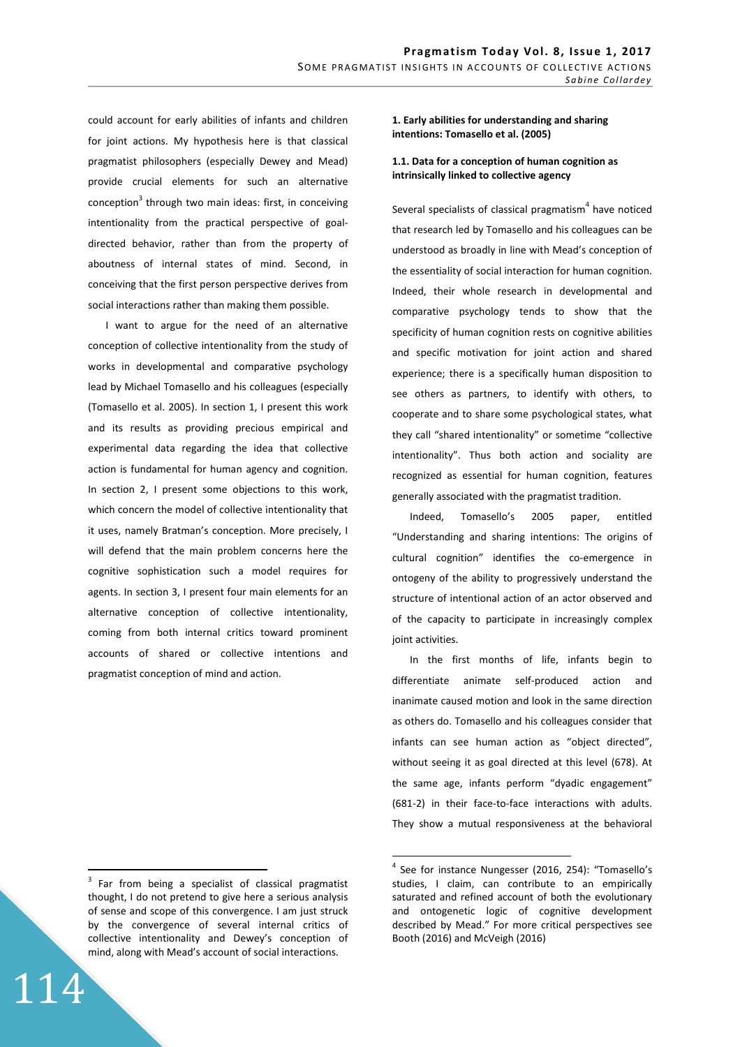could account for early abilities of infants and children for joint actions. My hypothesis here is that classical pragmatist philosophers (especially Dewey and Mead) provide crucial elements for such an alternative conception<sup>3</sup> through two main ideas: first, in conceiving intentionality from the practical perspective of goaldirected behavior, rather than from the property of aboutness of internal states of mind. Second, in conceiving that the first person perspective derives from social interactions rather than making them possible.

I want to argue for the need of an alternative conception of collective intentionality from the study of works in developmental and comparative psychology lead by Michael Tomasello and his colleagues (especially (Tomasello et al. 2005). In section 1, I present this work and its results as providing precious empirical and experimental data regarding the idea that collective action is fundamental for human agency and cognition. In section 2, I present some objections to this work, which concern the model of collective intentionality that it uses, namely Bratman's conception. More precisely, I will defend that the main problem concerns here the cognitive sophistication such a model requires for agents. In section 3, I present four main elements for an alternative conception of collective intentionality, coming from both internal critics toward prominent accounts of shared or collective intentions and pragmatist conception of mind and action.

## $3$  Far from being a specialist of classical pragmatist thought, I do not pretend to give here a serious analysis of sense and scope of this convergence. I am just struck by the convergence of several internal critics of collective intentionality and Dewey's conception of mind, along with Mead's account of social interactions.

114

 $\overline{a}$ 

### **1. Early abilities for understanding and sharing intentions: Tomasello et al. (2005)**

## **1.1. Data for a conception of human cognition as intrinsically linked to collective agency**

Several specialists of classical pragmatism<sup>4</sup> have noticed that research led by Tomasello and his colleagues can be understood as broadly in line with Mead's conception of the essentiality of social interaction for human cognition. Indeed, their whole research in developmental and comparative psychology tends to show that the specificity of human cognition rests on cognitive abilities and specific motivation for joint action and shared experience; there is a specifically human disposition to see others as partners, to identify with others, to cooperate and to share some psychological states, what they call "shared intentionality" or sometime "collective intentionality". Thus both action and sociality are recognized as essential for human cognition, features generally associated with the pragmatist tradition.

Indeed, Tomasello's 2005 paper, entitled "Understanding and sharing intentions: The origins of cultural cognition" identifies the co-emergence in ontogeny of the ability to progressively understand the structure of intentional action of an actor observed and of the capacity to participate in increasingly complex joint activities.

In the first months of life, infants begin to differentiate animate self-produced action and inanimate caused motion and look in the same direction as others do. Tomasello and his colleagues consider that infants can see human action as "object directed", without seeing it as goal directed at this level (678). At the same age, infants perform "dyadic engagement" (681-2) in their face-to-face interactions with adults. They show a mutual responsiveness at the behavioral

<sup>&</sup>lt;sup>4</sup> See for instance Nungesser (2016, 254): "Tomasello's studies, I claim, can contribute to an empirically saturated and refined account of both the evolutionary and ontogenetic logic of cognitive development described by Mead." For more critical perspectives see Booth (2016) and McVeigh (2016)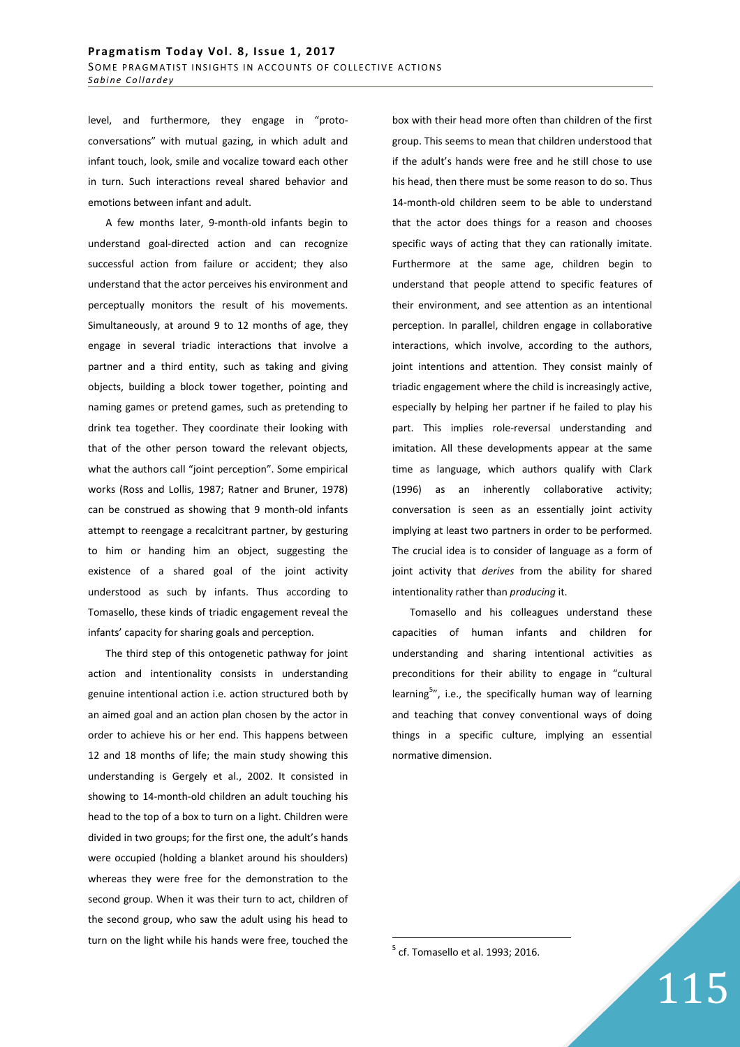level, and furthermore, they engage in "protoconversations" with mutual gazing, in which adult and infant touch, look, smile and vocalize toward each other in turn. Such interactions reveal shared behavior and emotions between infant and adult.

A few months later, 9-month-old infants begin to understand goal-directed action and can recognize successful action from failure or accident; they also understand that the actor perceives his environment and perceptually monitors the result of his movements. Simultaneously, at around 9 to 12 months of age, they engage in several triadic interactions that involve a partner and a third entity, such as taking and giving objects, building a block tower together, pointing and naming games or pretend games, such as pretending to drink tea together. They coordinate their looking with that of the other person toward the relevant objects, what the authors call "joint perception". Some empirical works (Ross and Lollis, 1987; Ratner and Bruner, 1978) can be construed as showing that 9 month-old infants attempt to reengage a recalcitrant partner, by gesturing to him or handing him an object, suggesting the existence of a shared goal of the joint activity understood as such by infants. Thus according to Tomasello, these kinds of triadic engagement reveal the infants' capacity for sharing goals and perception.

The third step of this ontogenetic pathway for joint action and intentionality consists in understanding genuine intentional action i.e. action structured both by an aimed goal and an action plan chosen by the actor in order to achieve his or her end. This happens between 12 and 18 months of life; the main study showing this understanding is Gergely et al., 2002. It consisted in showing to 14-month-old children an adult touching his head to the top of a box to turn on a light. Children were divided in two groups; for the first one, the adult's hands were occupied (holding a blanket around his shoulders) whereas they were free for the demonstration to the second group. When it was their turn to act, children of the second group, who saw the adult using his head to turn on the light while his hands were free, touched the

box with their head more often than children of the first group. This seems to mean that children understood that if the adult's hands were free and he still chose to use his head, then there must be some reason to do so. Thus 14-month-old children seem to be able to understand that the actor does things for a reason and chooses specific ways of acting that they can rationally imitate. Furthermore at the same age, children begin to understand that people attend to specific features of their environment, and see attention as an intentional perception. In parallel, children engage in collaborative interactions, which involve, according to the authors, joint intentions and attention. They consist mainly of triadic engagement where the child is increasingly active, especially by helping her partner if he failed to play his part. This implies role-reversal understanding and imitation. All these developments appear at the same time as language, which authors qualify with Clark (1996) as an inherently collaborative activity; conversation is seen as an essentially joint activity implying at least two partners in order to be performed. The crucial idea is to consider of language as a form of joint activity that *derives* from the ability for shared intentionality rather than *producing* it.

Tomasello and his colleagues understand these capacities of human infants and children for understanding and sharing intentional activities as preconditions for their ability to engage in "cultural learning<sup>5</sup>", i.e., the specifically human way of learning and teaching that convey conventional ways of doing things in a specific culture, implying an essential normative dimension.

115

 $<sup>5</sup>$  cf. Tomasello et al. 1993; 2016.</sup>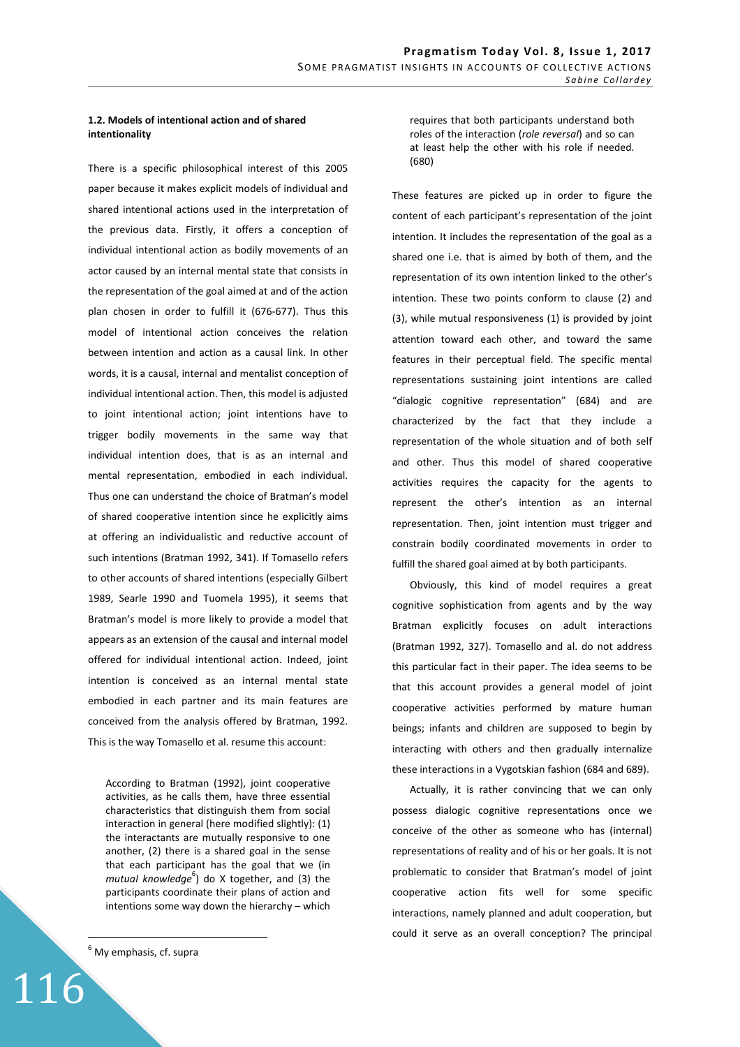## **1.2. Models of intentional action and of shared intentionality**

There is a specific philosophical interest of this 2005 paper because it makes explicit models of individual and shared intentional actions used in the interpretation of the previous data. Firstly, it offers a conception of individual intentional action as bodily movements of an actor caused by an internal mental state that consists in the representation of the goal aimed at and of the action plan chosen in order to fulfill it (676-677). Thus this model of intentional action conceives the relation between intention and action as a causal link. In other words, it is a causal, internal and mentalist conception of individual intentional action. Then, this model is adjusted to joint intentional action; joint intentions have to trigger bodily movements in the same way that individual intention does, that is as an internal and mental representation, embodied in each individual. Thus one can understand the choice of Bratman's model of shared cooperative intention since he explicitly aims at offering an individualistic and reductive account of such intentions (Bratman 1992, 341). If Tomasello refers to other accounts of shared intentions (especially Gilbert 1989, Searle 1990 and Tuomela 1995), it seems that Bratman's model is more likely to provide a model that appears as an extension of the causal and internal model offered for individual intentional action. Indeed, joint intention is conceived as an internal mental state embodied in each partner and its main features are conceived from the analysis offered by Bratman, 1992. This is the way Tomasello et al. resume this account:

According to Bratman (1992), joint cooperative activities, as he calls them, have three essential characteristics that distinguish them from social interaction in general (here modified slightly): (1) the interactants are mutually responsive to one another, (2) there is a shared goal in the sense that each participant has the goal that we (in mutual knowledge<sup>6</sup>) do X together, and (3) the participants coordinate their plans of action and intentions some way down the hierarchy – which

<sup>6</sup> My emphasis, cf. supra

116

 $\overline{a}$ 

requires that both participants understand both roles of the interaction (*role reversal*) and so can at least help the other with his role if needed. (680)

These features are picked up in order to figure the content of each participant's representation of the joint intention. It includes the representation of the goal as a shared one i.e. that is aimed by both of them, and the representation of its own intention linked to the other's intention. These two points conform to clause (2) and (3), while mutual responsiveness (1) is provided by joint attention toward each other, and toward the same features in their perceptual field. The specific mental representations sustaining joint intentions are called "dialogic cognitive representation" (684) and are characterized by the fact that they include a representation of the whole situation and of both self and other. Thus this model of shared cooperative activities requires the capacity for the agents to represent the other's intention as an internal representation. Then, joint intention must trigger and constrain bodily coordinated movements in order to fulfill the shared goal aimed at by both participants.

Obviously, this kind of model requires a great cognitive sophistication from agents and by the way Bratman explicitly focuses on adult interactions (Bratman 1992, 327). Tomasello and al. do not address this particular fact in their paper. The idea seems to be that this account provides a general model of joint cooperative activities performed by mature human beings; infants and children are supposed to begin by interacting with others and then gradually internalize these interactions in a Vygotskian fashion (684 and 689).

Actually, it is rather convincing that we can only possess dialogic cognitive representations once we conceive of the other as someone who has (internal) representations of reality and of his or her goals. It is not problematic to consider that Bratman's model of joint cooperative action fits well for some specific interactions, namely planned and adult cooperation, but could it serve as an overall conception? The principal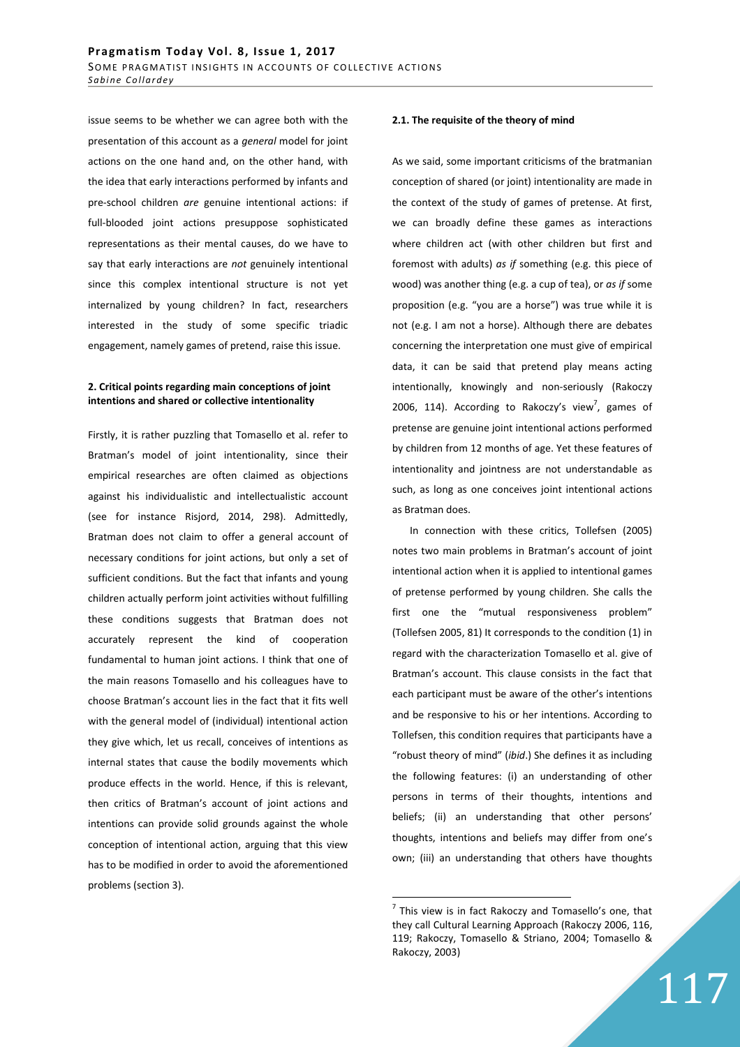issue seems to be whether we can agree both with the presentation of this account as a *general* model for joint actions on the one hand and, on the other hand, with the idea that early interactions performed by infants and pre-school children *are* genuine intentional actions: if full-blooded joint actions presuppose sophisticated representations as their mental causes, do we have to say that early interactions are *not* genuinely intentional since this complex intentional structure is not yet internalized by young children? In fact, researchers interested in the study of some specific triadic engagement, namely games of pretend, raise this issue.

## **2. Critical points regarding main conceptions of joint intentions and shared or collective intentionality**

Firstly, it is rather puzzling that Tomasello et al. refer to Bratman's model of joint intentionality, since their empirical researches are often claimed as objections against his individualistic and intellectualistic account (see for instance Risjord, 2014, 298). Admittedly, Bratman does not claim to offer a general account of necessary conditions for joint actions, but only a set of sufficient conditions. But the fact that infants and young children actually perform joint activities without fulfilling these conditions suggests that Bratman does not accurately represent the kind of cooperation fundamental to human joint actions. I think that one of the main reasons Tomasello and his colleagues have to choose Bratman's account lies in the fact that it fits well with the general model of (individual) intentional action they give which, let us recall, conceives of intentions as internal states that cause the bodily movements which produce effects in the world. Hence, if this is relevant, then critics of Bratman's account of joint actions and intentions can provide solid grounds against the whole conception of intentional action, arguing that this view has to be modified in order to avoid the aforementioned problems (section 3).

#### **2.1. The requisite of the theory of mind**

As we said, some important criticisms of the bratmanian conception of shared (or joint) intentionality are made in the context of the study of games of pretense. At first, we can broadly define these games as interactions where children act (with other children but first and foremost with adults) *as if* something (e.g. this piece of wood) was another thing (e.g. a cup of tea), or *as if* some proposition (e.g. "you are a horse") was true while it is not (e.g. I am not a horse). Although there are debates concerning the interpretation one must give of empirical data, it can be said that pretend play means acting intentionally, knowingly and non-seriously (Rakoczy 2006, 114). According to Rakoczy's view<sup>7</sup>, games of pretense are genuine joint intentional actions performed by children from 12 months of age. Yet these features of intentionality and jointness are not understandable as such, as long as one conceives joint intentional actions as Bratman does.

In connection with these critics, Tollefsen (2005) notes two main problems in Bratman's account of joint intentional action when it is applied to intentional games of pretense performed by young children. She calls the first one the "mutual responsiveness problem" (Tollefsen 2005, 81) It corresponds to the condition (1) in regard with the characterization Tomasello et al. give of Bratman's account. This clause consists in the fact that each participant must be aware of the other's intentions and be responsive to his or her intentions. According to Tollefsen, this condition requires that participants have a "robust theory of mind" (*ibid*.) She defines it as including the following features: (i) an understanding of other persons in terms of their thoughts, intentions and beliefs; (ii) an understanding that other persons' thoughts, intentions and beliefs may differ from one's own; (iii) an understanding that others have thoughts

 $\overline{a}$ 

 $^7$  This view is in fact Rakoczy and Tomasello's one, that they call Cultural Learning Approach (Rakoczy 2006, 116, 119; Rakoczy, Tomasello & Striano, 2004; Tomasello & Rakoczy, 2003)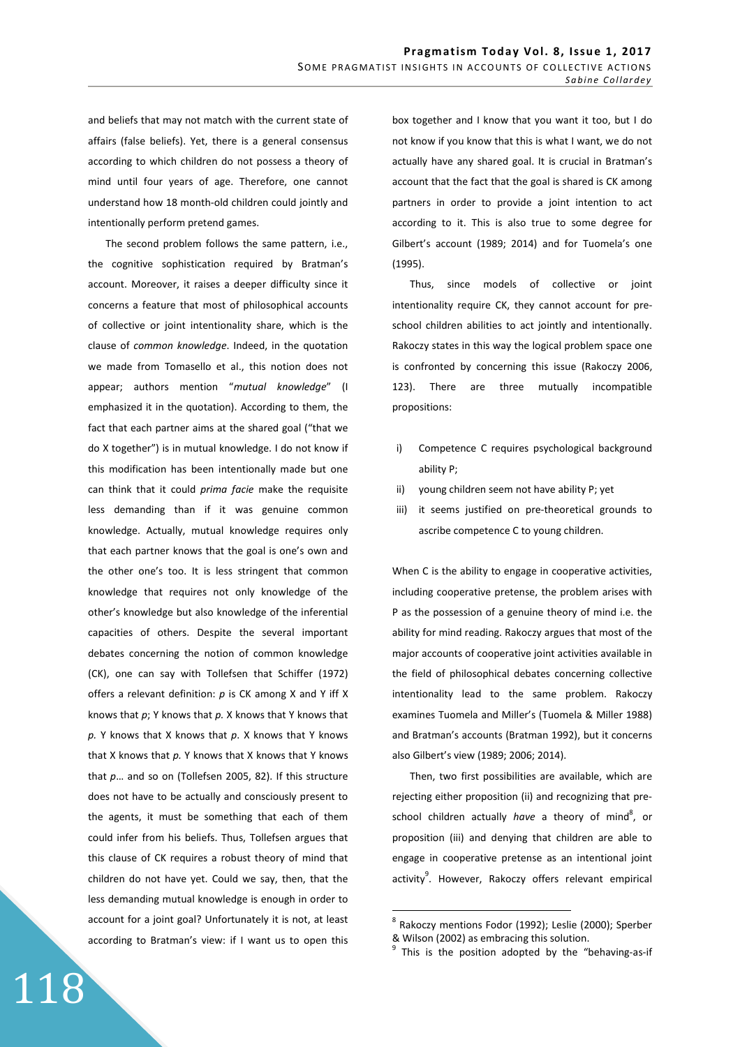and beliefs that may not match with the current state of affairs (false beliefs). Yet, there is a general consensus according to which children do not possess a theory of mind until four years of age. Therefore, one cannot understand how 18 month-old children could jointly and intentionally perform pretend games.

The second problem follows the same pattern, i.e., the cognitive sophistication required by Bratman's account. Moreover, it raises a deeper difficulty since it concerns a feature that most of philosophical accounts of collective or joint intentionality share, which is the clause of *common knowledge*. Indeed, in the quotation we made from Tomasello et al., this notion does not appear; authors mention "*mutual knowledge*" (I emphasized it in the quotation). According to them, the fact that each partner aims at the shared goal ("that we do X together") is in mutual knowledge. I do not know if this modification has been intentionally made but one can think that it could *prima facie* make the requisite less demanding than if it was genuine common knowledge. Actually, mutual knowledge requires only that each partner knows that the goal is one's own and the other one's too. It is less stringent that common knowledge that requires not only knowledge of the other's knowledge but also knowledge of the inferential capacities of others. Despite the several important debates concerning the notion of common knowledge (CK), one can say with Tollefsen that Schiffer (1972) offers a relevant definition: *p* is CK among X and Y iff X knows that *p*; Y knows that *p.* X knows that Y knows that *p.* Y knows that X knows that *p*. X knows that Y knows that X knows that *p.* Y knows that X knows that Y knows that *p*… and so on (Tollefsen 2005, 82). If this structure does not have to be actually and consciously present to the agents, it must be something that each of them could infer from his beliefs. Thus, Tollefsen argues that this clause of CK requires a robust theory of mind that children do not have yet. Could we say, then, that the less demanding mutual knowledge is enough in order to account for a joint goal? Unfortunately it is not, at least according to Bratman's view: if I want us to open this

118

box together and I know that you want it too, but I do not know if you know that this is what I want, we do not actually have any shared goal. It is crucial in Bratman's account that the fact that the goal is shared is CK among partners in order to provide a joint intention to act according to it. This is also true to some degree for Gilbert's account (1989; 2014) and for Tuomela's one (1995).

Thus, since models of collective or joint intentionality require CK, they cannot account for preschool children abilities to act jointly and intentionally. Rakoczy states in this way the logical problem space one is confronted by concerning this issue (Rakoczy 2006, 123). There are three mutually incompatible propositions:

- i) Competence C requires psychological background ability P;
- ii) young children seem not have ability P; yet
- iii) it seems justified on pre-theoretical grounds to ascribe competence C to young children.

When C is the ability to engage in cooperative activities, including cooperative pretense, the problem arises with P as the possession of a genuine theory of mind i.e. the ability for mind reading. Rakoczy argues that most of the major accounts of cooperative joint activities available in the field of philosophical debates concerning collective intentionality lead to the same problem. Rakoczy examines Tuomela and Miller's (Tuomela & Miller 1988) and Bratman's accounts (Bratman 1992), but it concerns also Gilbert's view (1989; 2006; 2014).

Then, two first possibilities are available, which are rejecting either proposition (ii) and recognizing that preschool children actually *have* a theory of mind<sup>8</sup>, or proposition (iii) and denying that children are able to engage in cooperative pretense as an intentional joint activity<sup>9</sup>. However, Rakoczy offers relevant empirical

<sup>&</sup>lt;sup>8</sup> Rakoczy mentions Fodor (1992); Leslie (2000); Sperber & Wilson (2002) as embracing this solution.

<sup>&</sup>lt;sup>9</sup> This is the position adopted by the "behaving-as-if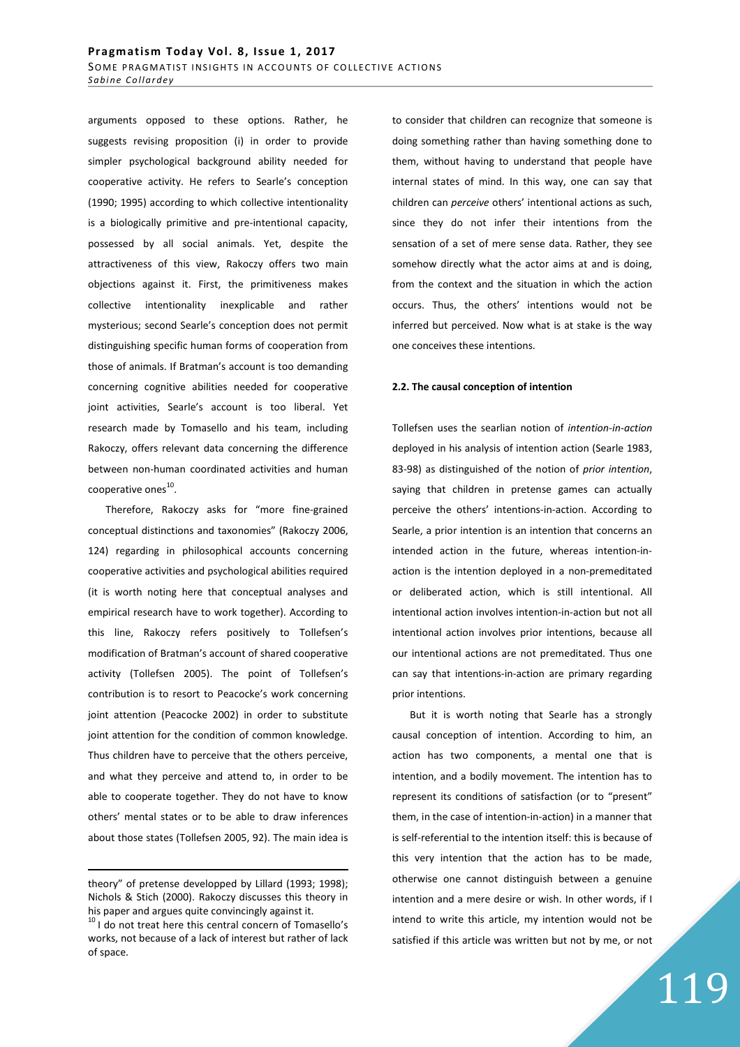arguments opposed to these options. Rather, he suggests revising proposition (i) in order to provide simpler psychological background ability needed for cooperative activity. He refers to Searle's conception (1990; 1995) according to which collective intentionality is a biologically primitive and pre-intentional capacity, possessed by all social animals. Yet, despite the attractiveness of this view, Rakoczy offers two main objections against it. First, the primitiveness makes collective intentionality inexplicable and rather mysterious; second Searle's conception does not permit distinguishing specific human forms of cooperation from those of animals. If Bratman's account is too demanding concerning cognitive abilities needed for cooperative joint activities, Searle's account is too liberal. Yet research made by Tomasello and his team, including Rakoczy, offers relevant data concerning the difference between non-human coordinated activities and human cooperative ones $^{10}$ .

Therefore, Rakoczy asks for "more fine-grained conceptual distinctions and taxonomies" (Rakoczy 2006, 124) regarding in philosophical accounts concerning cooperative activities and psychological abilities required (it is worth noting here that conceptual analyses and empirical research have to work together). According to this line, Rakoczy refers positively to Tollefsen's modification of Bratman's account of shared cooperative activity (Tollefsen 2005). The point of Tollefsen's contribution is to resort to Peacocke's work concerning joint attention (Peacocke 2002) in order to substitute joint attention for the condition of common knowledge. Thus children have to perceive that the others perceive, and what they perceive and attend to, in order to be able to cooperate together. They do not have to know others' mental states or to be able to draw inferences about those states (Tollefsen 2005, 92). The main idea is

<u>.</u>

to consider that children can recognize that someone is doing something rather than having something done to them, without having to understand that people have internal states of mind. In this way, one can say that children can *perceive* others' intentional actions as such, since they do not infer their intentions from the sensation of a set of mere sense data. Rather, they see somehow directly what the actor aims at and is doing, from the context and the situation in which the action occurs. Thus, the others' intentions would not be inferred but perceived. Now what is at stake is the way one conceives these intentions.

#### **2.2. The causal conception of intention**

Tollefsen uses the searlian notion of *intention-in-action* deployed in his analysis of intention action (Searle 1983, 83-98) as distinguished of the notion of *prior intention*, saying that children in pretense games can actually perceive the others' intentions-in-action. According to Searle, a prior intention is an intention that concerns an intended action in the future, whereas intention-inaction is the intention deployed in a non-premeditated or deliberated action, which is still intentional. All intentional action involves intention-in-action but not all intentional action involves prior intentions, because all our intentional actions are not premeditated. Thus one can say that intentions-in-action are primary regarding prior intentions.

But it is worth noting that Searle has a strongly causal conception of intention. According to him, an action has two components, a mental one that is intention, and a bodily movement. The intention has to represent its conditions of satisfaction (or to "present" them, in the case of intention-in-action) in a manner that is self-referential to the intention itself: this is because of this very intention that the action has to be made, otherwise one cannot distinguish between a genuine intention and a mere desire or wish. In other words, if I intend to write this article, my intention would not be satisfied if this article was written but not by me, or not

theory" of pretense developped by Lillard (1993; 1998); Nichols & Stich (2000). Rakoczy discusses this theory in his paper and argues quite convincingly against it.

 $10$  I do not treat here this central concern of Tomasello's works, not because of a lack of interest but rather of lack of space.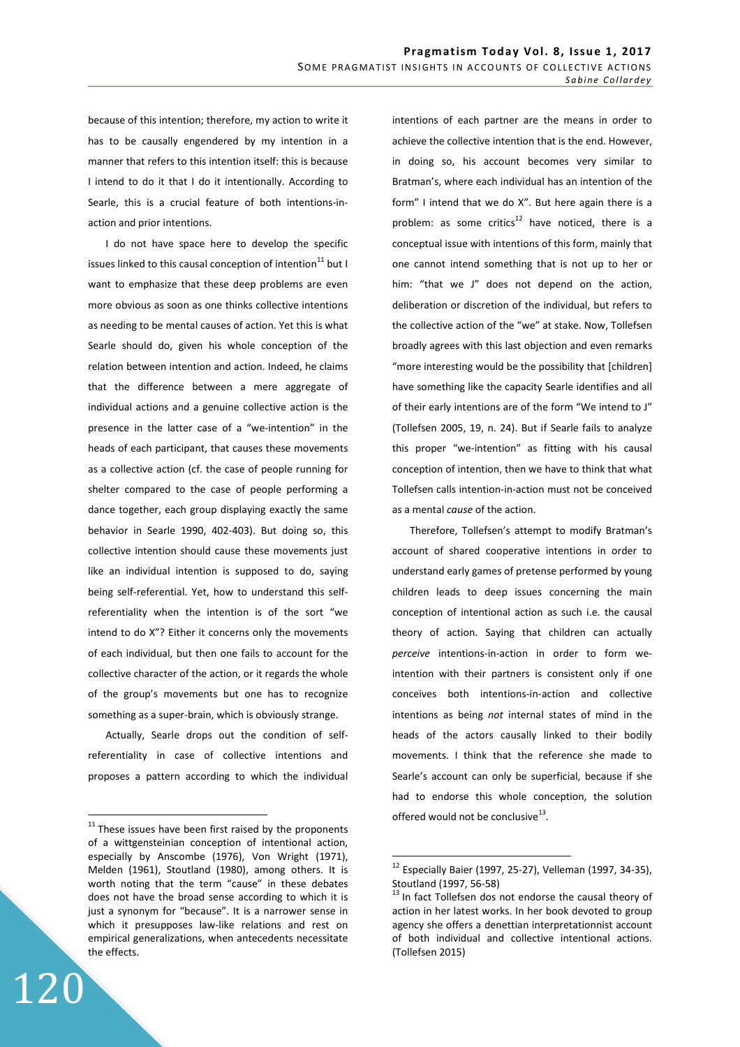because of this intention; therefore, my action to write it has to be causally engendered by my intention in a manner that refers to this intention itself: this is because I intend to do it that I do it intentionally. According to Searle, this is a crucial feature of both intentions-inaction and prior intentions.

I do not have space here to develop the specific issues linked to this causal conception of intention $^{11}$  but I want to emphasize that these deep problems are even more obvious as soon as one thinks collective intentions as needing to be mental causes of action. Yet this is what Searle should do, given his whole conception of the relation between intention and action. Indeed, he claims that the difference between a mere aggregate of individual actions and a genuine collective action is the presence in the latter case of a "we-intention" in the heads of each participant, that causes these movements as a collective action (cf. the case of people running for shelter compared to the case of people performing a dance together, each group displaying exactly the same behavior in Searle 1990, 402-403). But doing so, this collective intention should cause these movements just like an individual intention is supposed to do, saying being self-referential. Yet, how to understand this selfreferentiality when the intention is of the sort "we intend to do X"? Either it concerns only the movements of each individual, but then one fails to account for the collective character of the action, or it regards the whole of the group's movements but one has to recognize something as a super-brain, which is obviously strange.

Actually, Searle drops out the condition of selfreferentiality in case of collective intentions and proposes a pattern according to which the individual

120

 $\overline{a}$ 

intentions of each partner are the means in order to achieve the collective intention that is the end. However, in doing so, his account becomes very similar to Bratman's, where each individual has an intention of the form" I intend that we do X". But here again there is a problem: as some critics<sup>12</sup> have noticed, there is a conceptual issue with intentions of this form, mainly that one cannot intend something that is not up to her or him: "that we J" does not depend on the action, deliberation or discretion of the individual, but refers to the collective action of the "we" at stake. Now, Tollefsen broadly agrees with this last objection and even remarks "more interesting would be the possibility that [children] have something like the capacity Searle identifies and all of their early intentions are of the form "We intend to J" (Tollefsen 2005, 19, n. 24). But if Searle fails to analyze this proper "we-intention" as fitting with his causal conception of intention, then we have to think that what Tollefsen calls intention-in-action must not be conceived as a mental *cause* of the action.

Therefore, Tollefsen's attempt to modify Bratman's account of shared cooperative intentions in order to understand early games of pretense performed by young children leads to deep issues concerning the main conception of intentional action as such i.e. the causal theory of action. Saying that children can actually *perceive* intentions-in-action in order to form weintention with their partners is consistent only if one conceives both intentions-in-action and collective intentions as being *not* internal states of mind in the heads of the actors causally linked to their bodily movements. I think that the reference she made to Searle's account can only be superficial, because if she had to endorse this whole conception, the solution offered would not be conclusive $^{13}$ .

 $11$  These issues have been first raised by the proponents of a wittgensteinian conception of intentional action, especially by Anscombe (1976), Von Wright (1971), Melden (1961), Stoutland (1980), among others. It is worth noting that the term "cause" in these debates does not have the broad sense according to which it is just a synonym for "because". It is a narrower sense in which it presupposes law-like relations and rest on empirical generalizations, when antecedents necessitate the effects.

 $12$  Especially Baier (1997, 25-27), Velleman (1997, 34-35), Stoutland (1997, 56-58)

In fact Tollefsen dos not endorse the causal theory of action in her latest works. In her book devoted to group agency she offers a denettian interpretationnist account of both individual and collective intentional actions. (Tollefsen 2015)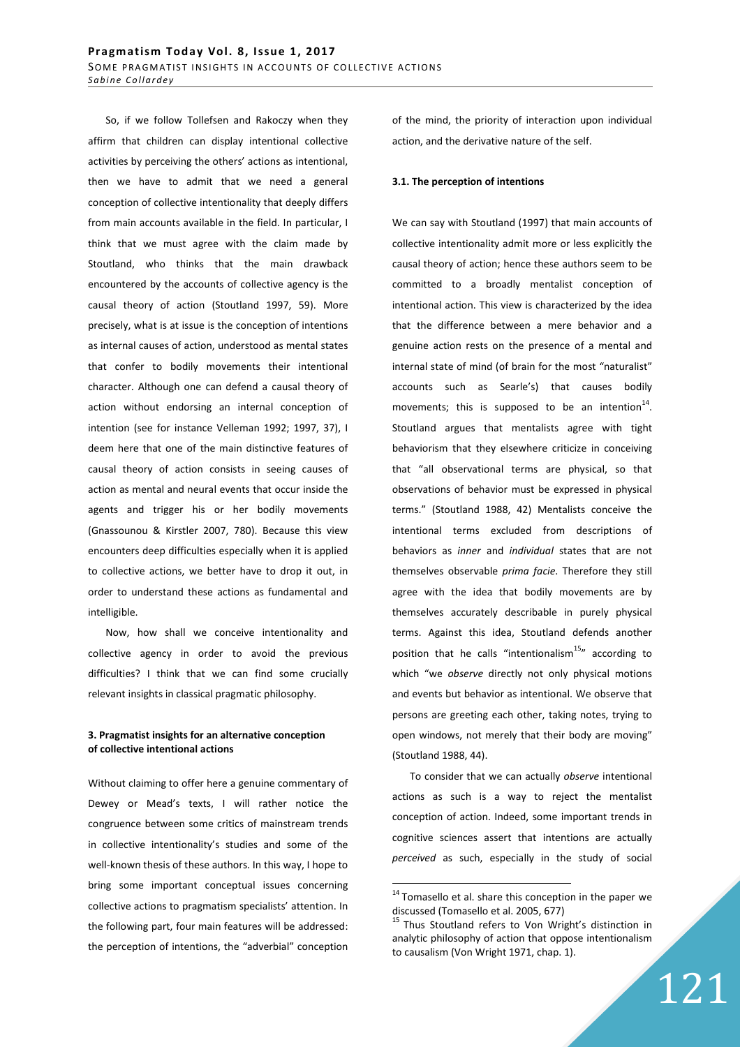So, if we follow Tollefsen and Rakoczy when they affirm that children can display intentional collective activities by perceiving the others' actions as intentional, then we have to admit that we need a general conception of collective intentionality that deeply differs from main accounts available in the field. In particular, I think that we must agree with the claim made by Stoutland, who thinks that the main drawback encountered by the accounts of collective agency is the causal theory of action (Stoutland 1997, 59). More precisely, what is at issue is the conception of intentions as internal causes of action, understood as mental states that confer to bodily movements their intentional character. Although one can defend a causal theory of action without endorsing an internal conception of intention (see for instance Velleman 1992; 1997, 37), I deem here that one of the main distinctive features of causal theory of action consists in seeing causes of action as mental and neural events that occur inside the agents and trigger his or her bodily movements (Gnassounou & Kirstler 2007, 780). Because this view encounters deep difficulties especially when it is applied to collective actions, we better have to drop it out, in order to understand these actions as fundamental and intelligible.

Now, how shall we conceive intentionality and collective agency in order to avoid the previous difficulties? I think that we can find some crucially relevant insights in classical pragmatic philosophy.

#### **3. Pragmatist insights for an alternative conception of collective intentional actions**

Without claiming to offer here a genuine commentary of Dewey or Mead's texts, I will rather notice the congruence between some critics of mainstream trends in collective intentionality's studies and some of the well-known thesis of these authors. In this way, I hope to bring some important conceptual issues concerning collective actions to pragmatism specialists' attention. In the following part, four main features will be addressed: the perception of intentions, the "adverbial" conception of the mind, the priority of interaction upon individual action, and the derivative nature of the self.

#### **3.1. The perception of intentions**

We can say with Stoutland (1997) that main accounts of collective intentionality admit more or less explicitly the causal theory of action; hence these authors seem to be committed to a broadly mentalist conception of intentional action. This view is characterized by the idea that the difference between a mere behavior and a genuine action rests on the presence of a mental and internal state of mind (of brain for the most "naturalist" accounts such as Searle's) that causes bodily movements; this is supposed to be an intention $^{14}$ . Stoutland argues that mentalists agree with tight behaviorism that they elsewhere criticize in conceiving that "all observational terms are physical, so that observations of behavior must be expressed in physical terms." (Stoutland 1988, 42) Mentalists conceive the intentional terms excluded from descriptions of behaviors as *inner* and *individual* states that are not themselves observable *prima facie*. Therefore they still agree with the idea that bodily movements are by themselves accurately describable in purely physical terms. Against this idea, Stoutland defends another position that he calls "intentionalism $15"$  according to which "we *observe* directly not only physical motions and events but behavior as intentional. We observe that persons are greeting each other, taking notes, trying to open windows, not merely that their body are moving" (Stoutland 1988, 44).

To consider that we can actually *observe* intentional actions as such is a way to reject the mentalist conception of action. Indeed, some important trends in cognitive sciences assert that intentions are actually *perceived* as such, especially in the study of social

<sup>&</sup>lt;sup>14</sup> Tomasello et al. share this conception in the paper we discussed (Tomasello et al. 2005, 677)

<sup>&</sup>lt;sup>15</sup> Thus Stoutland refers to Von Wright's distinction in analytic philosophy of action that oppose intentionalism to causalism (Von Wright 1971, chap. 1).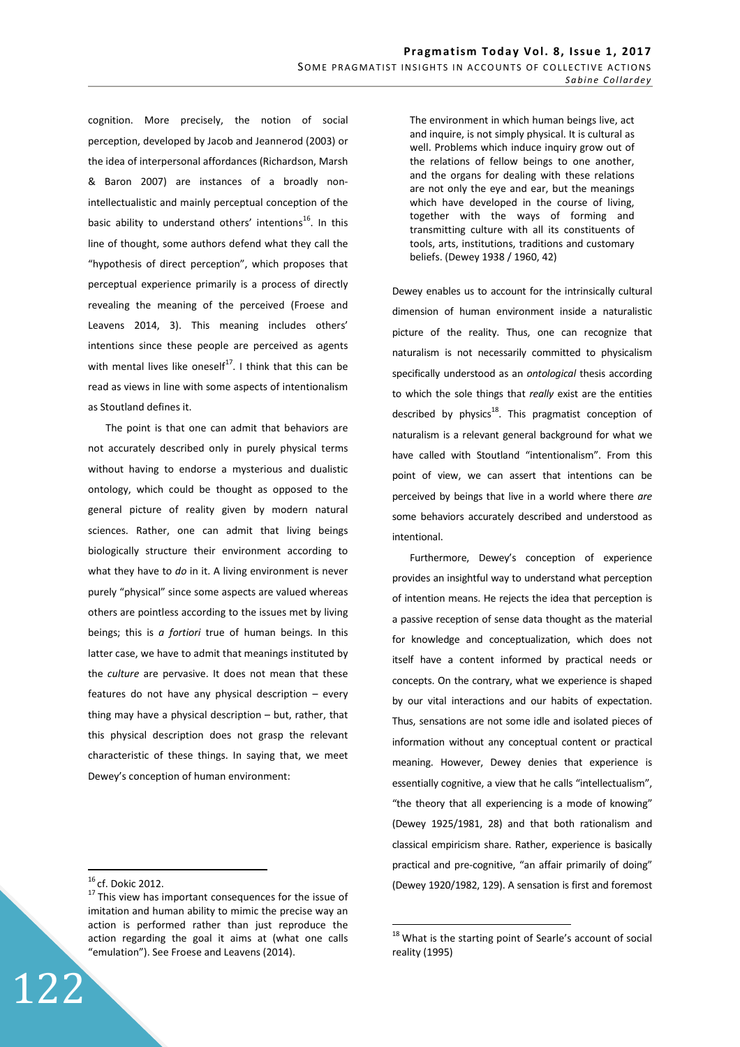cognition. More precisely, the notion of social perception, developed by Jacob and Jeannerod (2003) or the idea of interpersonal affordances (Richardson, Marsh & Baron 2007) are instances of a broadly nonintellectualistic and mainly perceptual conception of the basic ability to understand others' intentions<sup>16</sup>. In this line of thought, some authors defend what they call the "hypothesis of direct perception", which proposes that perceptual experience primarily is a process of directly revealing the meaning of the perceived (Froese and Leavens 2014, 3). This meaning includes others' intentions since these people are perceived as agents with mental lives like oneself $17$ . I think that this can be read as views in line with some aspects of intentionalism as Stoutland defines it.

The point is that one can admit that behaviors are not accurately described only in purely physical terms without having to endorse a mysterious and dualistic ontology, which could be thought as opposed to the general picture of reality given by modern natural sciences. Rather, one can admit that living beings biologically structure their environment according to what they have to *do* in it. A living environment is never purely "physical" since some aspects are valued whereas others are pointless according to the issues met by living beings; this is *a fortiori* true of human beings. In this latter case, we have to admit that meanings instituted by the *culture* are pervasive. It does not mean that these features do not have any physical description – every thing may have a physical description – but, rather, that this physical description does not grasp the relevant characteristic of these things. In saying that, we meet Dewey's conception of human environment:

 $\overline{a}$ 

122

The environment in which human beings live, act and inquire, is not simply physical. It is cultural as well. Problems which induce inquiry grow out of the relations of fellow beings to one another, and the organs for dealing with these relations are not only the eye and ear, but the meanings which have developed in the course of living, together with the ways of forming and transmitting culture with all its constituents of tools, arts, institutions, traditions and customary beliefs. (Dewey 1938 / 1960, 42)

Dewey enables us to account for the intrinsically cultural dimension of human environment inside a naturalistic picture of the reality. Thus, one can recognize that naturalism is not necessarily committed to physicalism specifically understood as an *ontological* thesis according to which the sole things that *really* exist are the entities described by physics $^{18}$ . This pragmatist conception of naturalism is a relevant general background for what we have called with Stoutland "intentionalism". From this point of view, we can assert that intentions can be perceived by beings that live in a world where there *are* some behaviors accurately described and understood as intentional.

Furthermore, Dewey's conception of experience provides an insightful way to understand what perception of intention means. He rejects the idea that perception is a passive reception of sense data thought as the material for knowledge and conceptualization, which does not itself have a content informed by practical needs or concepts. On the contrary, what we experience is shaped by our vital interactions and our habits of expectation. Thus, sensations are not some idle and isolated pieces of information without any conceptual content or practical meaning. However, Dewey denies that experience is essentially cognitive, a view that he calls "intellectualism", "the theory that all experiencing is a mode of knowing" (Dewey 1925/1981, 28) and that both rationalism and classical empiricism share. Rather, experience is basically practical and pre-cognitive, "an affair primarily of doing" (Dewey 1920/1982, 129). A sensation is first and foremost

 $16$  cf. Dokic 2012.

 $17$ This view has important consequences for the issue of imitation and human ability to mimic the precise way an action is performed rather than just reproduce the action regarding the goal it aims at (what one calls "emulation"). See Froese and Leavens (2014).

 $18$  What is the starting point of Searle's account of social reality (1995)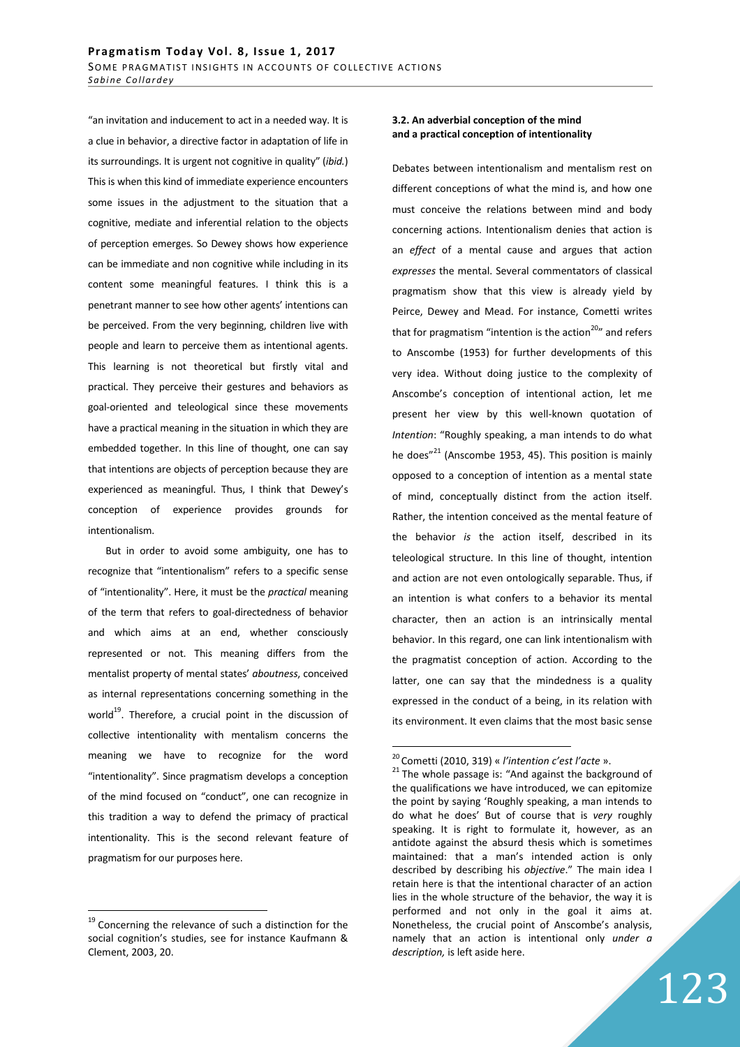"an invitation and inducement to act in a needed way. It is a clue in behavior, a directive factor in adaptation of life in its surroundings. It is urgent not cognitive in quality" (*ibid.*) This is when this kind of immediate experience encounters some issues in the adjustment to the situation that a cognitive, mediate and inferential relation to the objects of perception emerges. So Dewey shows how experience can be immediate and non cognitive while including in its content some meaningful features. I think this is a penetrant manner to see how other agents' intentions can be perceived. From the very beginning, children live with people and learn to perceive them as intentional agents. This learning is not theoretical but firstly vital and practical. They perceive their gestures and behaviors as goal-oriented and teleological since these movements have a practical meaning in the situation in which they are embedded together. In this line of thought, one can say that intentions are objects of perception because they are experienced as meaningful. Thus, I think that Dewey's conception of experience provides grounds for intentionalism.

But in order to avoid some ambiguity, one has to recognize that "intentionalism" refers to a specific sense of "intentionality". Here, it must be the *practical* meaning of the term that refers to goal-directedness of behavior and which aims at an end, whether consciously represented or not. This meaning differs from the mentalist property of mental states' *aboutness*, conceived as internal representations concerning something in the world<sup>19</sup>. Therefore, a crucial point in the discussion of collective intentionality with mentalism concerns the meaning we have to recognize for the word "intentionality". Since pragmatism develops a conception of the mind focused on "conduct", one can recognize in this tradition a way to defend the primacy of practical intentionality. This is the second relevant feature of pragmatism for our purposes here.

 $\overline{a}$ 

## **3.2. An adverbial conception of the mind and a practical conception of intentionality**

Debates between intentionalism and mentalism rest on different conceptions of what the mind is, and how one must conceive the relations between mind and body concerning actions. Intentionalism denies that action is an *effect* of a mental cause and argues that action *expresses* the mental. Several commentators of classical pragmatism show that this view is already yield by Peirce, Dewey and Mead. For instance, Cometti writes that for pragmatism "intention is the action<sup>20</sup>" and refers to Anscombe (1953) for further developments of this very idea. Without doing justice to the complexity of Anscombe's conception of intentional action, let me present her view by this well-known quotation of *Intention*: "Roughly speaking, a man intends to do what he does" $^{21}$  (Anscombe 1953, 45). This position is mainly opposed to a conception of intention as a mental state of mind, conceptually distinct from the action itself. Rather, the intention conceived as the mental feature of the behavior *is* the action itself, described in its teleological structure. In this line of thought, intention and action are not even ontologically separable. Thus, if an intention is what confers to a behavior its mental character, then an action is an intrinsically mental behavior. In this regard, one can link intentionalism with the pragmatist conception of action. According to the latter, one can say that the mindedness is a quality expressed in the conduct of a being, in its relation with its environment. It even claims that the most basic sense

<sup>&</sup>lt;sup>19</sup> Concerning the relevance of such a distinction for the social cognition's studies, see for instance Kaufmann & Clement, 2003, 20.

<sup>20</sup>Cometti (2010, 319) « *l'intention c'est l'acte* ».

 $21$  The whole passage is: "And against the background of the qualifications we have introduced, we can epitomize the point by saying 'Roughly speaking, a man intends to do what he does' But of course that is *very* roughly speaking. It is right to formulate it, however, as an antidote against the absurd thesis which is sometimes maintained: that a man's intended action is only described by describing his *objective*." The main idea I retain here is that the intentional character of an action lies in the whole structure of the behavior, the way it is performed and not only in the goal it aims at. Nonetheless, the crucial point of Anscombe's analysis, namely that an action is intentional only *under a description,* is left aside here.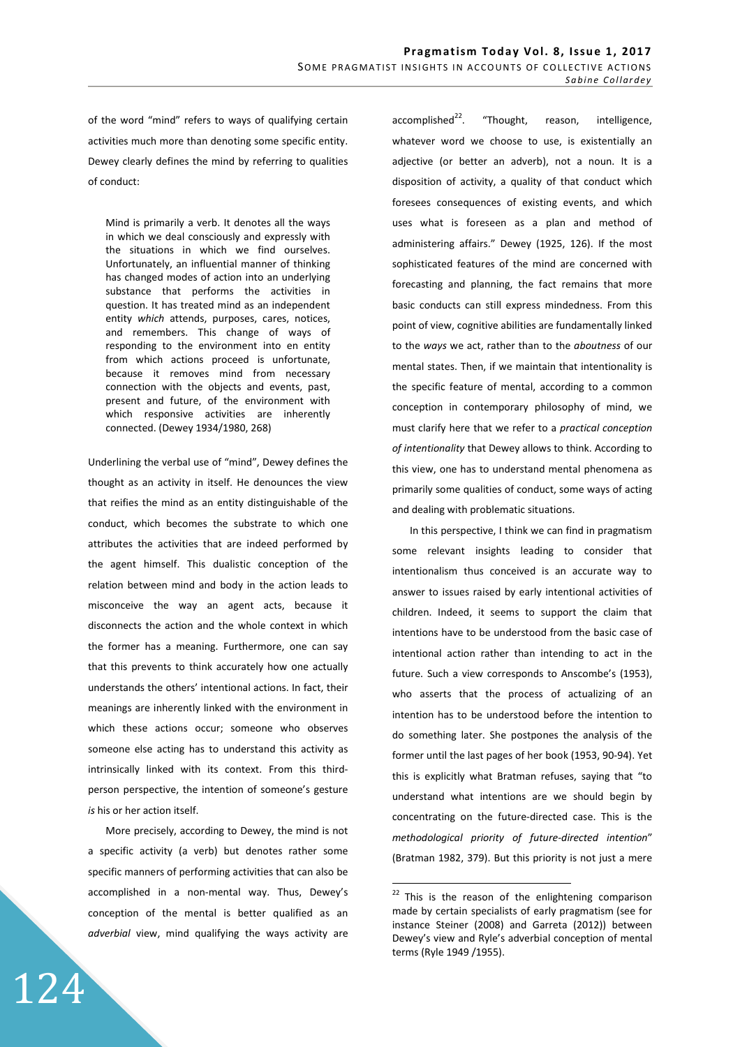of the word "mind" refers to ways of qualifying certain activities much more than denoting some specific entity. Dewey clearly defines the mind by referring to qualities of conduct:

Mind is primarily a verb. It denotes all the ways in which we deal consciously and expressly with the situations in which we find ourselves. Unfortunately, an influential manner of thinking has changed modes of action into an underlying substance that performs the activities in question. It has treated mind as an independent entity *which* attends, purposes, cares, notices, and remembers. This change of ways of responding to the environment into en entity from which actions proceed is unfortunate, because it removes mind from necessary connection with the objects and events, past, present and future, of the environment with which responsive activities are inherently connected. (Dewey 1934/1980, 268)

Underlining the verbal use of "mind", Dewey defines the thought as an activity in itself. He denounces the view that reifies the mind as an entity distinguishable of the conduct, which becomes the substrate to which one attributes the activities that are indeed performed by the agent himself. This dualistic conception of the relation between mind and body in the action leads to misconceive the way an agent acts, because it disconnects the action and the whole context in which the former has a meaning. Furthermore, one can say that this prevents to think accurately how one actually understands the others' intentional actions. In fact, their meanings are inherently linked with the environment in which these actions occur; someone who observes someone else acting has to understand this activity as intrinsically linked with its context. From this thirdperson perspective, the intention of someone's gesture *is* his or her action itself.

More precisely, according to Dewey, the mind is not a specific activity (a verb) but denotes rather some specific manners of performing activities that can also be accomplished in a non-mental way. Thus, Dewey's conception of the mental is better qualified as an *adverbial* view, mind qualifying the ways activity are

124

 $accounted<sup>22</sup>$ . "Thought, reason, intelligence, whatever word we choose to use, is existentially an adjective (or better an adverb), not a noun. It is a disposition of activity, a quality of that conduct which foresees consequences of existing events, and which uses what is foreseen as a plan and method of administering affairs." Dewey (1925, 126). If the most sophisticated features of the mind are concerned with forecasting and planning, the fact remains that more basic conducts can still express mindedness. From this point of view, cognitive abilities are fundamentally linked to the *ways* we act, rather than to the *aboutness* of our mental states. Then, if we maintain that intentionality is the specific feature of mental, according to a common conception in contemporary philosophy of mind, we must clarify here that we refer to a *practical conception of intentionality* that Dewey allows to think. According to this view, one has to understand mental phenomena as primarily some qualities of conduct, some ways of acting and dealing with problematic situations.

In this perspective, I think we can find in pragmatism some relevant insights leading to consider that intentionalism thus conceived is an accurate way to answer to issues raised by early intentional activities of children. Indeed, it seems to support the claim that intentions have to be understood from the basic case of intentional action rather than intending to act in the future. Such a view corresponds to Anscombe's (1953), who asserts that the process of actualizing of an intention has to be understood before the intention to do something later. She postpones the analysis of the former until the last pages of her book (1953, 90-94). Yet this is explicitly what Bratman refuses, saying that "to understand what intentions are we should begin by concentrating on the future-directed case. This is the *methodological priority of future-directed intention*" (Bratman 1982, 379). But this priority is not just a mere

<sup>&</sup>lt;sup>22</sup> This is the reason of the enlightening comparison made by certain specialists of early pragmatism (see for instance Steiner (2008) and Garreta (2012)) between Dewey's view and Ryle's adverbial conception of mental terms (Ryle 1949 /1955).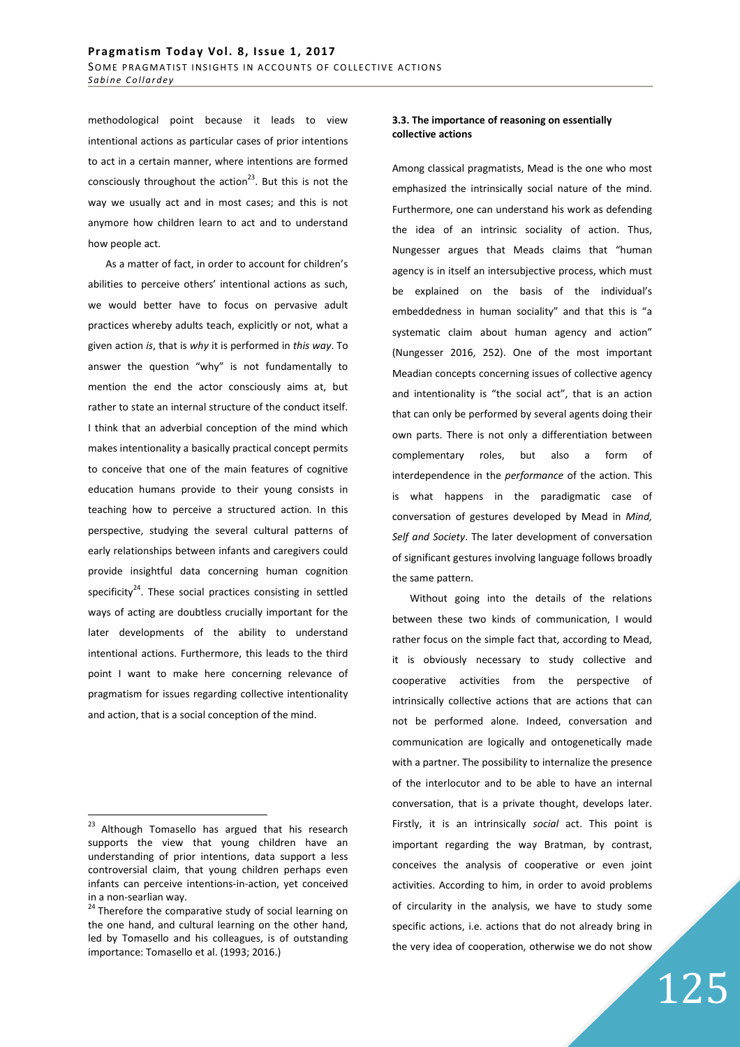methodological point because it leads to view intentional actions as particular cases of prior intentions to act in a certain manner, where intentions are formed consciously throughout the action<sup>23</sup>. But this is not the way we usually act and in most cases; and this is not anymore how children learn to act and to understand how people act.

As a matter of fact, in order to account for children's abilities to perceive others' intentional actions as such, we would better have to focus on pervasive adult practices whereby adults teach, explicitly or not, what a given action *is*, that is *why* it is performed in *this way*. To answer the question "why" is not fundamentally to mention the end the actor consciously aims at, but rather to state an internal structure of the conduct itself. I think that an adverbial conception of the mind which makes intentionality a basically practical concept permits to conceive that one of the main features of cognitive education humans provide to their young consists in teaching how to perceive a structured action. In this perspective, studying the several cultural patterns of early relationships between infants and caregivers could provide insightful data concerning human cognition specificity $^{24}$ . These social practices consisting in settled ways of acting are doubtless crucially important for the later developments of the ability to understand intentional actions. Furthermore, this leads to the third point I want to make here concerning relevance of pragmatism for issues regarding collective intentionality and action, that is a social conception of the mind.

 $\overline{a}$ 

## **3.3. The importance of reasoning on essentially collective actions**

Among classical pragmatists, Mead is the one who most emphasized the intrinsically social nature of the mind. Furthermore, one can understand his work as defending the idea of an intrinsic sociality of action. Thus, Nungesser argues that Meads claims that "human agency is in itself an intersubjective process, which must be explained on the basis of the individual's embeddedness in human sociality" and that this is "a systematic claim about human agency and action" (Nungesser 2016, 252). One of the most important Meadian concepts concerning issues of collective agency and intentionality is "the social act", that is an action that can only be performed by several agents doing their own parts. There is not only a differentiation between complementary roles, but also a form of interdependence in the *performance* of the action. This is what happens in the paradigmatic case of conversation of gestures developed by Mead in *Mind, Self and Society*. The later development of conversation of significant gestures involving language follows broadly the same pattern.

Without going into the details of the relations between these two kinds of communication, I would rather focus on the simple fact that, according to Mead, it is obviously necessary to study collective and cooperative activities from the perspective of intrinsically collective actions that are actions that can not be performed alone. Indeed, conversation and communication are logically and ontogenetically made with a partner. The possibility to internalize the presence of the interlocutor and to be able to have an internal conversation, that is a private thought, develops later. Firstly, it is an intrinsically *social* act. This point is important regarding the way Bratman, by contrast, conceives the analysis of cooperative or even joint activities. According to him, in order to avoid problems of circularity in the analysis, we have to study some specific actions, i.e. actions that do not already bring in the very idea of cooperation, otherwise we do not show

<sup>&</sup>lt;sup>23</sup> Although Tomasello has argued that his research supports the view that young children have an understanding of prior intentions, data support a less controversial claim, that young children perhaps even infants can perceive intentions-in-action, yet conceived in a non-searlian way.

<sup>&</sup>lt;sup>24</sup> Therefore the comparative study of social learning on the one hand, and cultural learning on the other hand, led by Tomasello and his colleagues, is of outstanding importance: Tomasello et al. (1993; 2016.)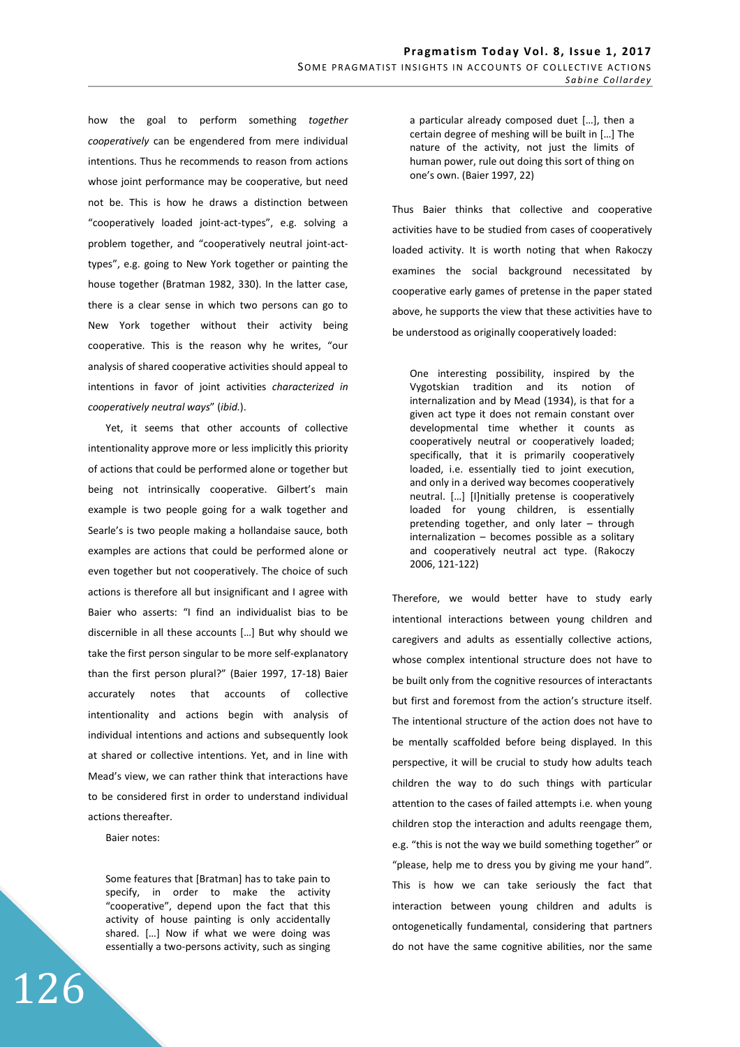how the goal to perform something *together cooperatively* can be engendered from mere individual intentions. Thus he recommends to reason from actions whose joint performance may be cooperative, but need not be. This is how he draws a distinction between "cooperatively loaded joint-act-types", e.g. solving a problem together, and "cooperatively neutral joint-acttypes", e.g. going to New York together or painting the house together (Bratman 1982, 330). In the latter case, there is a clear sense in which two persons can go to New York together without their activity being cooperative. This is the reason why he writes, "our analysis of shared cooperative activities should appeal to intentions in favor of joint activities *characterized in cooperatively neutral ways*" (*ibid.*).

Yet, it seems that other accounts of collective intentionality approve more or less implicitly this priority of actions that could be performed alone or together but being not intrinsically cooperative. Gilbert's main example is two people going for a walk together and Searle's is two people making a hollandaise sauce, both examples are actions that could be performed alone or even together but not cooperatively. The choice of such actions is therefore all but insignificant and I agree with Baier who asserts: "I find an individualist bias to be discernible in all these accounts […] But why should we take the first person singular to be more self-explanatory than the first person plural?" (Baier 1997, 17-18) Baier accurately notes that accounts of collective intentionality and actions begin with analysis of individual intentions and actions and subsequently look at shared or collective intentions. Yet, and in line with Mead's view, we can rather think that interactions have to be considered first in order to understand individual actions thereafter.

Baier notes:

126

Some features that [Bratman] has to take pain to specify, in order to make the activity "cooperative", depend upon the fact that this activity of house painting is only accidentally shared. […] Now if what we were doing was essentially a two-persons activity, such as singing a particular already composed duet […], then a certain degree of meshing will be built in […] The nature of the activity, not just the limits of human power, rule out doing this sort of thing on one's own. (Baier 1997, 22)

Thus Baier thinks that collective and cooperative activities have to be studied from cases of cooperatively loaded activity. It is worth noting that when Rakoczy examines the social background necessitated by cooperative early games of pretense in the paper stated above, he supports the view that these activities have to be understood as originally cooperatively loaded:

One interesting possibility, inspired by the Vygotskian tradition and its notion of internalization and by Mead (1934), is that for a given act type it does not remain constant over developmental time whether it counts as cooperatively neutral or cooperatively loaded; specifically, that it is primarily cooperatively loaded, i.e. essentially tied to joint execution, and only in a derived way becomes cooperatively neutral. […] [I]nitially pretense is cooperatively loaded for young children, is essentially pretending together, and only later – through internalization – becomes possible as a solitary and cooperatively neutral act type. (Rakoczy 2006, 121-122)

Therefore, we would better have to study early intentional interactions between young children and caregivers and adults as essentially collective actions, whose complex intentional structure does not have to be built only from the cognitive resources of interactants but first and foremost from the action's structure itself. The intentional structure of the action does not have to be mentally scaffolded before being displayed. In this perspective, it will be crucial to study how adults teach children the way to do such things with particular attention to the cases of failed attempts i.e. when young children stop the interaction and adults reengage them, e.g. "this is not the way we build something together" or "please, help me to dress you by giving me your hand". This is how we can take seriously the fact that interaction between young children and adults is ontogenetically fundamental, considering that partners do not have the same cognitive abilities, nor the same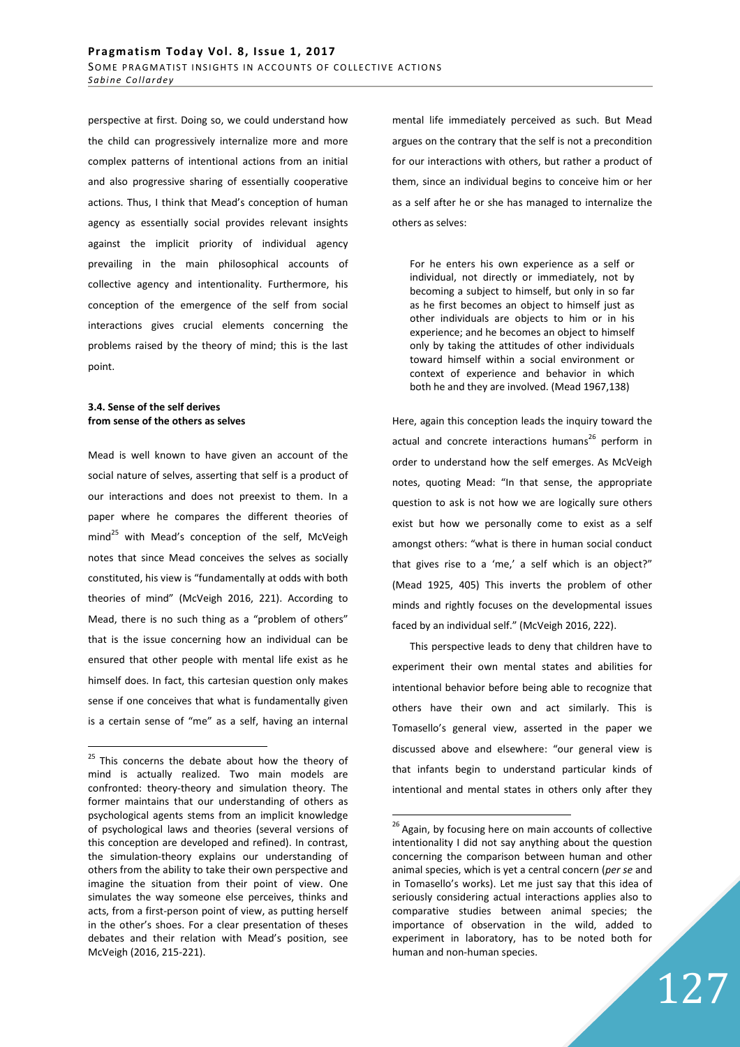perspective at first. Doing so, we could understand how the child can progressively internalize more and more complex patterns of intentional actions from an initial and also progressive sharing of essentially cooperative actions. Thus, I think that Mead's conception of human agency as essentially social provides relevant insights against the implicit priority of individual agency prevailing in the main philosophical accounts of collective agency and intentionality. Furthermore, his conception of the emergence of the self from social interactions gives crucial elements concerning the problems raised by the theory of mind; this is the last point.

#### **3.4. Sense of the self derives from sense of the others as selves**

 $\overline{a}$ 

Mead is well known to have given an account of the social nature of selves, asserting that self is a product of our interactions and does not preexist to them. In a paper where he compares the different theories of  $mind<sup>25</sup>$  with Mead's conception of the self, McVeigh notes that since Mead conceives the selves as socially constituted, his view is "fundamentally at odds with both theories of mind" (McVeigh 2016, 221). According to Mead, there is no such thing as a "problem of others" that is the issue concerning how an individual can be ensured that other people with mental life exist as he himself does. In fact, this cartesian question only makes sense if one conceives that what is fundamentally given is a certain sense of "me" as a self, having an internal

mental life immediately perceived as such. But Mead argues on the contrary that the self is not a precondition for our interactions with others, but rather a product of them, since an individual begins to conceive him or her as a self after he or she has managed to internalize the others as selves:

For he enters his own experience as a self or individual, not directly or immediately, not by becoming a subject to himself, but only in so far as he first becomes an object to himself just as other individuals are objects to him or in his experience; and he becomes an object to himself only by taking the attitudes of other individuals toward himself within a social environment or context of experience and behavior in which both he and they are involved. (Mead 1967,138)

Here, again this conception leads the inquiry toward the actual and concrete interactions humans<sup>26</sup> perform in order to understand how the self emerges. As McVeigh notes, quoting Mead: "In that sense, the appropriate question to ask is not how we are logically sure others exist but how we personally come to exist as a self amongst others: "what is there in human social conduct that gives rise to a 'me,' a self which is an object?" (Mead 1925, 405) This inverts the problem of other minds and rightly focuses on the developmental issues faced by an individual self." (McVeigh 2016, 222).

This perspective leads to deny that children have to experiment their own mental states and abilities for intentional behavior before being able to recognize that others have their own and act similarly. This is Tomasello's general view, asserted in the paper we discussed above and elsewhere: "our general view is that infants begin to understand particular kinds of intentional and mental states in others only after they

<sup>&</sup>lt;sup>25</sup> This concerns the debate about how the theory of mind is actually realized. Two main models are confronted: theory-theory and simulation theory. The former maintains that our understanding of others as psychological agents stems from an implicit knowledge of psychological laws and theories (several versions of this conception are developed and refined). In contrast, the simulation-theory explains our understanding of others from the ability to take their own perspective and imagine the situation from their point of view. One simulates the way someone else perceives, thinks and acts, from a first-person point of view, as putting herself in the other's shoes. For a clear presentation of theses debates and their relation with Mead's position, see McVeigh (2016, 215-221).

 $26$  Again, by focusing here on main accounts of collective intentionality I did not say anything about the question concerning the comparison between human and other animal species, which is yet a central concern (*per se* and in Tomasello's works). Let me just say that this idea of seriously considering actual interactions applies also to comparative studies between animal species; the importance of observation in the wild, added to experiment in laboratory, has to be noted both for human and non-human species.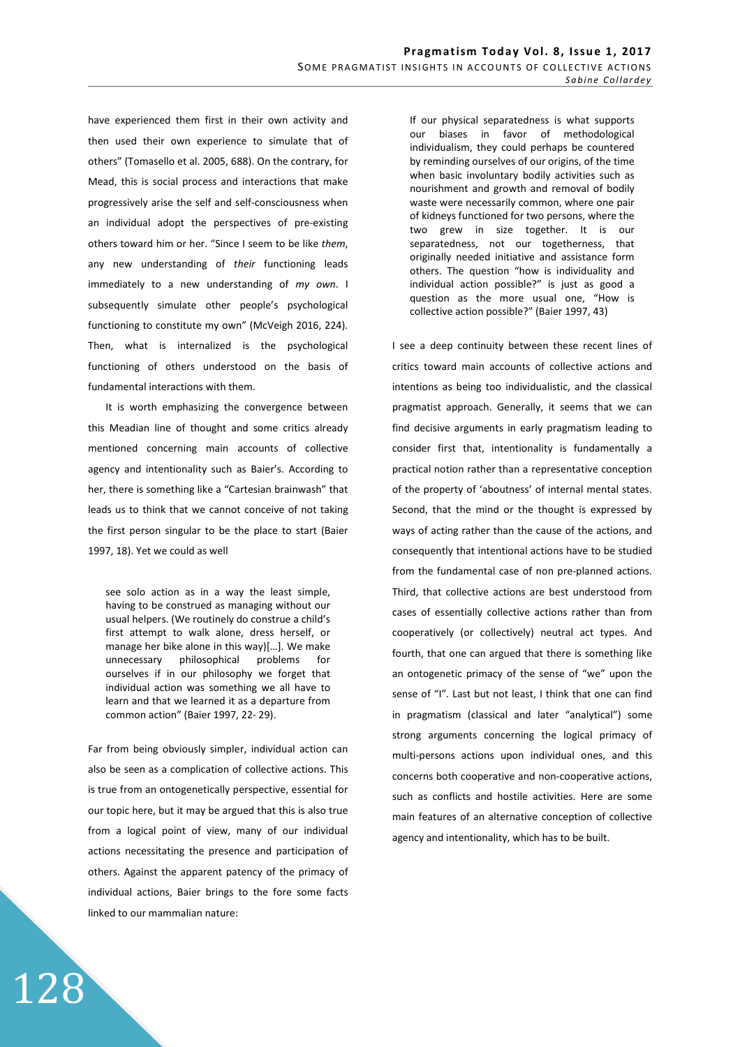have experienced them first in their own activity and then used their own experience to simulate that of others" (Tomasello et al. 2005, 688). On the contrary, for Mead, this is social process and interactions that make progressively arise the self and self-consciousness when an individual adopt the perspectives of pre-existing others toward him or her. "Since I seem to be like *them*, any new understanding of *their* functioning leads immediately to a new understanding of *my own*. I subsequently simulate other people's psychological functioning to constitute my own" (McVeigh 2016, 224). Then, what is internalized is the psychological functioning of others understood on the basis of fundamental interactions with them.

It is worth emphasizing the convergence between this Meadian line of thought and some critics already mentioned concerning main accounts of collective agency and intentionality such as Baier's. According to her, there is something like a "Cartesian brainwash" that leads us to think that we cannot conceive of not taking the first person singular to be the place to start (Baier 1997, 18). Yet we could as well

see solo action as in a way the least simple, having to be construed as managing without our usual helpers. (We routinely do construe a child's first attempt to walk alone, dress herself, or manage her bike alone in this way)[…]. We make unnecessary philosophical problems for ourselves if in our philosophy we forget that individual action was something we all have to learn and that we learned it as a departure from common action" (Baier 1997, 22- 29).

Far from being obviously simpler, individual action can also be seen as a complication of collective actions. This is true from an ontogenetically perspective, essential for our topic here, but it may be argued that this is also true from a logical point of view, many of our individual actions necessitating the presence and participation of others. Against the apparent patency of the primacy of individual actions, Baier brings to the fore some facts linked to our mammalian nature:

128

If our physical separatedness is what supports our biases in favor of methodological individualism, they could perhaps be countered by reminding ourselves of our origins, of the time when basic involuntary bodily activities such as nourishment and growth and removal of bodily waste were necessarily common, where one pair of kidneys functioned for two persons, where the two grew in size together. It is our separatedness, not our togetherness, that originally needed initiative and assistance form others. The question "how is individuality and individual action possible?" is just as good a question as the more usual one, "How is collective action possible?" (Baier 1997, 43)

I see a deep continuity between these recent lines of critics toward main accounts of collective actions and intentions as being too individualistic, and the classical pragmatist approach. Generally, it seems that we can find decisive arguments in early pragmatism leading to consider first that, intentionality is fundamentally a practical notion rather than a representative conception of the property of 'aboutness' of internal mental states. Second, that the mind or the thought is expressed by ways of acting rather than the cause of the actions, and consequently that intentional actions have to be studied from the fundamental case of non pre-planned actions. Third, that collective actions are best understood from cases of essentially collective actions rather than from cooperatively (or collectively) neutral act types. And fourth, that one can argued that there is something like an ontogenetic primacy of the sense of "we" upon the sense of "I". Last but not least, I think that one can find in pragmatism (classical and later "analytical") some strong arguments concerning the logical primacy of multi-persons actions upon individual ones, and this concerns both cooperative and non-cooperative actions, such as conflicts and hostile activities. Here are some main features of an alternative conception of collective agency and intentionality, which has to be built.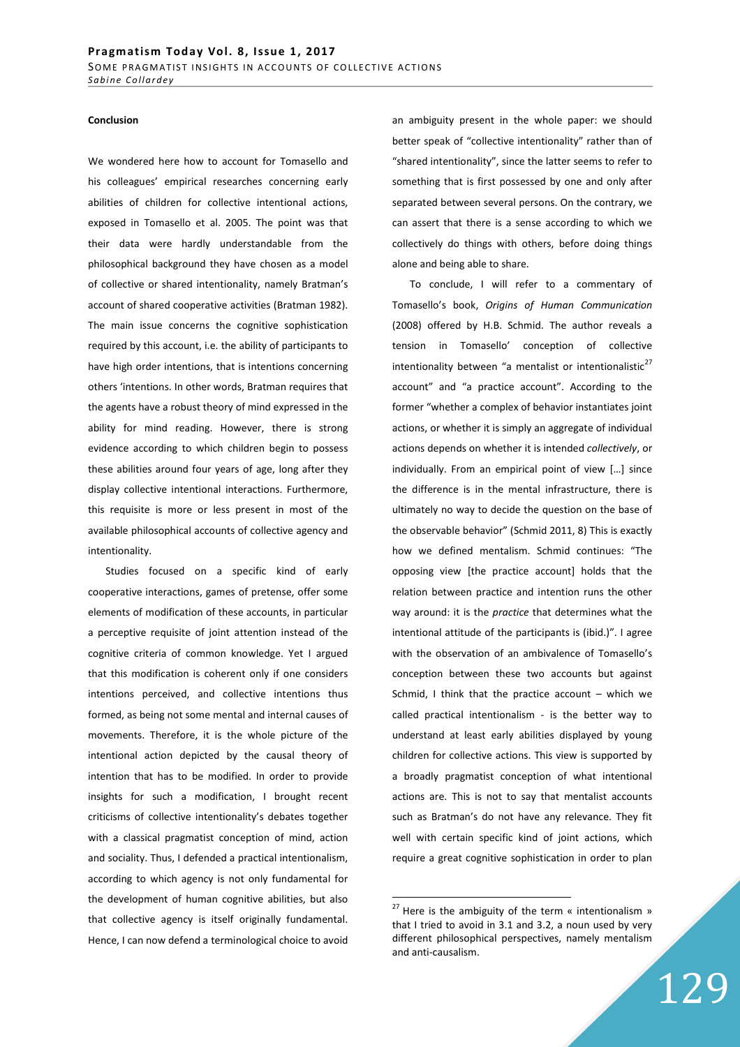#### **Conclusion**

We wondered here how to account for Tomasello and his colleagues' empirical researches concerning early abilities of children for collective intentional actions, exposed in Tomasello et al. 2005. The point was that their data were hardly understandable from the philosophical background they have chosen as a model of collective or shared intentionality, namely Bratman's account of shared cooperative activities (Bratman 1982). The main issue concerns the cognitive sophistication required by this account, i.e. the ability of participants to have high order intentions, that is intentions concerning others 'intentions. In other words, Bratman requires that the agents have a robust theory of mind expressed in the ability for mind reading. However, there is strong evidence according to which children begin to possess these abilities around four years of age, long after they display collective intentional interactions. Furthermore, this requisite is more or less present in most of the available philosophical accounts of collective agency and intentionality.

Studies focused on a specific kind of early cooperative interactions, games of pretense, offer some elements of modification of these accounts, in particular a perceptive requisite of joint attention instead of the cognitive criteria of common knowledge. Yet I argued that this modification is coherent only if one considers intentions perceived, and collective intentions thus formed, as being not some mental and internal causes of movements. Therefore, it is the whole picture of the intentional action depicted by the causal theory of intention that has to be modified. In order to provide insights for such a modification, I brought recent criticisms of collective intentionality's debates together with a classical pragmatist conception of mind, action and sociality. Thus, I defended a practical intentionalism, according to which agency is not only fundamental for the development of human cognitive abilities, but also that collective agency is itself originally fundamental. Hence, I can now defend a terminological choice to avoid an ambiguity present in the whole paper: we should better speak of "collective intentionality" rather than of "shared intentionality", since the latter seems to refer to something that is first possessed by one and only after separated between several persons. On the contrary, we can assert that there is a sense according to which we collectively do things with others, before doing things alone and being able to share.

To conclude, I will refer to a commentary of Tomasello's book, *Origins of Human Communication* (2008) offered by H.B. Schmid. The author reveals a tension in Tomasello' conception of collective intentionality between "a mentalist or intentionalistic $^{27}$ account" and "a practice account". According to the former "whether a complex of behavior instantiates joint actions, or whether it is simply an aggregate of individual actions depends on whether it is intended *collectively*, or individually. From an empirical point of view […] since the difference is in the mental infrastructure, there is ultimately no way to decide the question on the base of the observable behavior" (Schmid 2011, 8) This is exactly how we defined mentalism. Schmid continues: "The opposing view [the practice account] holds that the relation between practice and intention runs the other way around: it is the *practice* that determines what the intentional attitude of the participants is (ibid.)". I agree with the observation of an ambivalence of Tomasello's conception between these two accounts but against Schmid, I think that the practice account  $-$  which we called practical intentionalism - is the better way to understand at least early abilities displayed by young children for collective actions. This view is supported by a broadly pragmatist conception of what intentional actions are. This is not to say that mentalist accounts such as Bratman's do not have any relevance. They fit well with certain specific kind of joint actions, which require a great cognitive sophistication in order to plan

 $27$  Here is the ambiguity of the term « intentionalism » that I tried to avoid in 3.1 and 3.2, a noun used by very different philosophical perspectives, namely mentalism and anti-causalism.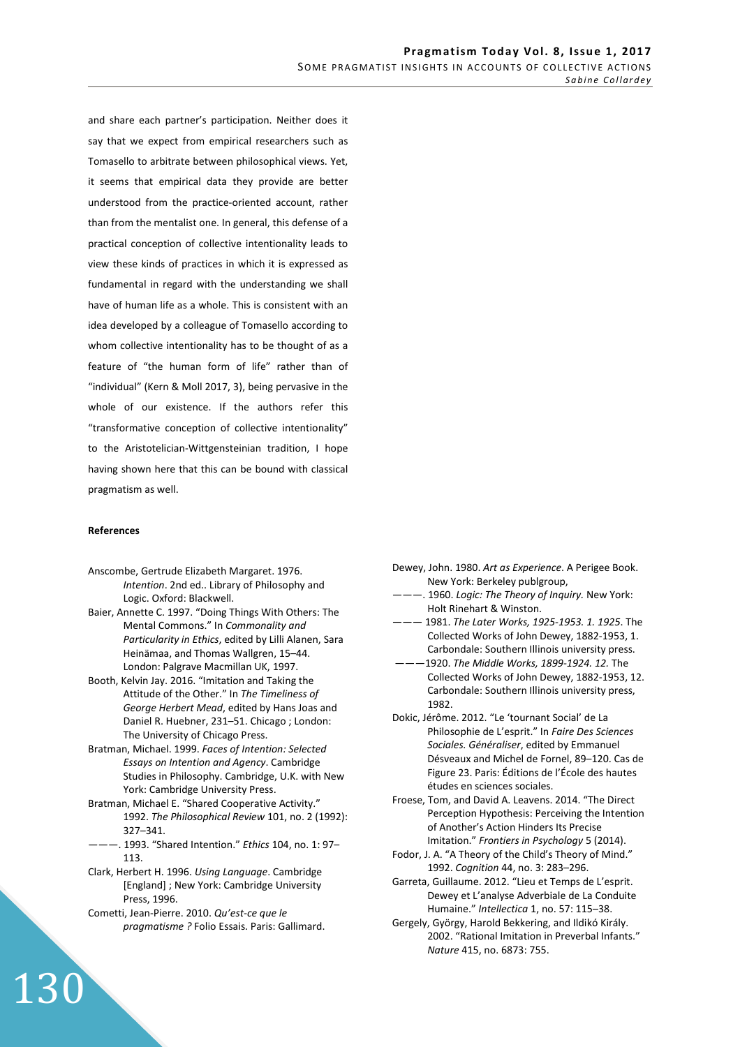and share each partner's participation. Neither does it say that we expect from empirical researchers such as Tomasello to arbitrate between philosophical views. Yet, it seems that empirical data they provide are better understood from the practice-oriented account, rather than from the mentalist one. In general, this defense of a practical conception of collective intentionality leads to view these kinds of practices in which it is expressed as fundamental in regard with the understanding we shall have of human life as a whole. This is consistent with an idea developed by a colleague of Tomasello according to whom collective intentionality has to be thought of as a feature of "the human form of life" rather than of "individual" (Kern & Moll 2017, 3), being pervasive in the whole of our existence. If the authors refer this "transformative conception of collective intentionality" to the Aristotelician-Wittgensteinian tradition, I hope having shown here that this can be bound with classical pragmatism as well.

#### **References**

- Anscombe, Gertrude Elizabeth Margaret. 1976. *Intention*. 2nd ed.. Library of Philosophy and Logic. Oxford: Blackwell.
- Baier, Annette C. 1997. "Doing Things With Others: The Mental Commons." In *Commonality and Particularity in Ethics*, edited by Lilli Alanen, Sara Heinämaa, and Thomas Wallgren, 15–44. London: Palgrave Macmillan UK, 1997.
- Booth, Kelvin Jay. 2016. "Imitation and Taking the Attitude of the Other." In *The Timeliness of George Herbert Mead*, edited by Hans Joas and Daniel R. Huebner, 231–51. Chicago ; London: The University of Chicago Press.
- Bratman, Michael. 1999. *Faces of Intention: Selected Essays on Intention and Agency*. Cambridge Studies in Philosophy. Cambridge, U.K. with New York: Cambridge University Press.
- Bratman, Michael E. "Shared Cooperative Activity." 1992. *The Philosophical Review* 101, no. 2 (1992): 327–341.
- ———. 1993. "Shared Intention." *Ethics* 104, no. 1: 97– 113.
- Clark, Herbert H. 1996. *Using Language*. Cambridge [England] ; New York: Cambridge University Press, 1996.
- Cometti, Jean-Pierre. 2010. *Qu'est-ce que le pragmatisme ?* Folio Essais. Paris: Gallimard.
- Dewey, John. 1980. *Art as Experience*. A Perigee Book. New York: Berkeley publgroup,
- ———. 1960. *Logic: The Theory of Inquiry.* New York: Holt Rinehart & Winston.
- ——— 1981. *The Later Works, 1925-1953. 1. 1925*. The Collected Works of John Dewey, 1882-1953, 1. Carbondale: Southern Illinois university press.
- ———1920. *The Middle Works, 1899-1924. 12.* The Collected Works of John Dewey, 1882-1953, 12. Carbondale: Southern Illinois university press, 1982.
- Dokic, Jérôme. 2012. "Le 'tournant Social' de La Philosophie de L'esprit." In *Faire Des Sciences Sociales. Généraliser*, edited by Emmanuel Désveaux and Michel de Fornel, 89–120. Cas de Figure 23. Paris: Éditions de l'École des hautes études en sciences sociales.
- Froese, Tom, and David A. Leavens. 2014. "The Direct Perception Hypothesis: Perceiving the Intention of Another's Action Hinders Its Precise Imitation." *Frontiers in Psychology* 5 (2014).
- Fodor, J. A. "A Theory of the Child's Theory of Mind." 1992. *Cognition* 44, no. 3: 283–296.
- Garreta, Guillaume. 2012. "Lieu et Temps de L'esprit. Dewey et L'analyse Adverbiale de La Conduite Humaine." *Intellectica* 1, no. 57: 115–38.
- Gergely, György, Harold Bekkering, and Ildikó Király. 2002. "Rational Imitation in Preverbal Infants." *Nature* 415, no. 6873: 755.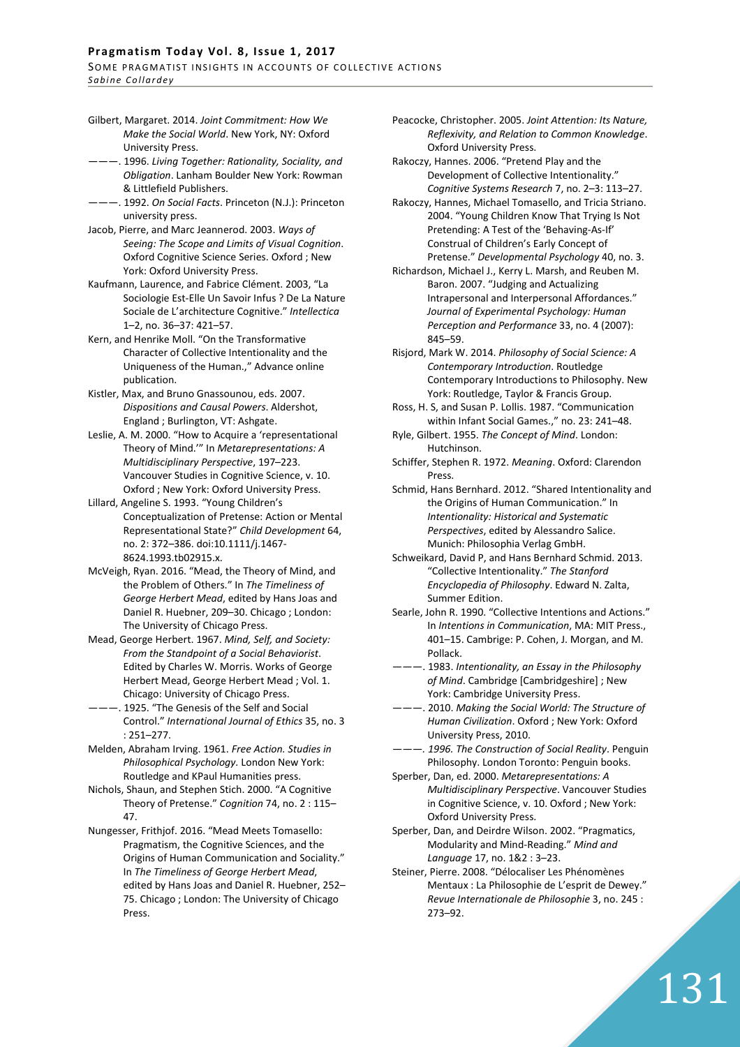## Pragmatism Today Vol. 8, Issue 1, 2017 SOME PRAGMATIST INSIGHTS IN ACCOUNTS OF COLLECTIVE ACTIONS

*S a b i n e C o l l a r d e y*

- Gilbert, Margaret. 2014. *Joint Commitment: How We Make the Social World*. New York, NY: Oxford University Press.
- ———. 1996. *Living Together: Rationality, Sociality, and Obligation*. Lanham Boulder New York: Rowman & Littlefield Publishers.
- ———. 1992. *On Social Facts*. Princeton (N.J.): Princeton university press.
- Jacob, Pierre, and Marc Jeannerod. 2003. *Ways of Seeing: The Scope and Limits of Visual Cognition*. Oxford Cognitive Science Series. Oxford ; New York: Oxford University Press.
- Kaufmann, Laurence, and Fabrice Clément. 2003, "La Sociologie Est-Elle Un Savoir Infus ? De La Nature Sociale de L'architecture Cognitive." *Intellectica* 1–2, no. 36–37: 421–57.
- Kern, and Henrike Moll. "On the Transformative Character of Collective Intentionality and the Uniqueness of the Human.," Advance online publication.
- Kistler, Max, and Bruno Gnassounou, eds. 2007. *Dispositions and Causal Powers*. Aldershot, England ; Burlington, VT: Ashgate.
- Leslie, A. M. 2000. "How to Acquire a 'representational Theory of Mind.'" In *Metarepresentations: A Multidisciplinary Perspective*, 197–223. Vancouver Studies in Cognitive Science, v. 10. Oxford ; New York: Oxford University Press.
- Lillard, Angeline S. 1993. "Young Children's Conceptualization of Pretense: Action or Mental Representational State?" *Child Development* 64, no. 2: 372–386. doi:10.1111/j.1467- 8624.1993.tb02915.x.
- McVeigh, Ryan. 2016. "Mead, the Theory of Mind, and the Problem of Others." In *The Timeliness of George Herbert Mead*, edited by Hans Joas and Daniel R. Huebner, 209–30. Chicago ; London: The University of Chicago Press.
- Mead, George Herbert. 1967. *Mind, Self, and Society: From the Standpoint of a Social Behaviorist*. Edited by Charles W. Morris. Works of George Herbert Mead, George Herbert Mead ; Vol. 1. Chicago: University of Chicago Press.
- --. 1925. "The Genesis of the Self and Social Control." *International Journal of Ethics* 35, no. 3 : 251–277.
- Melden, Abraham Irving. 1961. *Free Action. Studies in Philosophical Psychology.* London New York: Routledge and KPaul Humanities press.
- Nichols, Shaun, and Stephen Stich. 2000. "A Cognitive Theory of Pretense." *Cognition* 74, no. 2 : 115– 47.
- Nungesser, Frithjof. 2016. "Mead Meets Tomasello: Pragmatism, the Cognitive Sciences, and the Origins of Human Communication and Sociality." In *The Timeliness of George Herbert Mead*, edited by Hans Joas and Daniel R. Huebner, 252– 75. Chicago ; London: The University of Chicago Press.
- Peacocke, Christopher. 2005. *Joint Attention: Its Nature, Reflexivity, and Relation to Common Knowledge*. Oxford University Press.
- Rakoczy, Hannes. 2006. "Pretend Play and the Development of Collective Intentionality." *Cognitive Systems Research* 7, no. 2–3: 113–27.
- Rakoczy, Hannes, Michael Tomasello, and Tricia Striano. 2004. "Young Children Know That Trying Is Not Pretending: A Test of the 'Behaving-As-If' Construal of Children's Early Concept of Pretense." *Developmental Psychology* 40, no. 3.
- Richardson, Michael J., Kerry L. Marsh, and Reuben M. Baron. 2007. "Judging and Actualizing Intrapersonal and Interpersonal Affordances." *Journal of Experimental Psychology: Human Perception and Performance* 33, no. 4 (2007): 845–59.
- Risjord, Mark W. 2014. *Philosophy of Social Science: A Contemporary Introduction*. Routledge Contemporary Introductions to Philosophy. New York: Routledge, Taylor & Francis Group.
- Ross, H. S, and Susan P. Lollis. 1987. "Communication within Infant Social Games.," no. 23: 241–48.
- Ryle, Gilbert. 1955. *The Concept of Mind*. London: Hutchinson.
- Schiffer, Stephen R. 1972. *Meaning*. Oxford: Clarendon **Press**
- Schmid, Hans Bernhard. 2012. "Shared Intentionality and the Origins of Human Communication." In *Intentionality: Historical and Systematic Perspectives*, edited by Alessandro Salice. Munich: Philosophia Verlag GmbH.
- Schweikard, David P, and Hans Bernhard Schmid. 2013. "Collective Intentionality." *The Stanford Encyclopedia of Philosophy*. Edward N. Zalta, Summer Edition.
- Searle, John R. 1990. "Collective Intentions and Actions." In *Intentions in Communication*, MA: MIT Press., 401–15. Cambrige: P. Cohen, J. Morgan, and M. Pollack.
- ———. 1983. *Intentionality, an Essay in the Philosophy of Mind*. Cambridge [Cambridgeshire] ; New York: Cambridge University Press.
- ———. 2010. *Making the Social World: The Structure of Human Civilization*. Oxford ; New York: Oxford University Press, 2010.
- *———. 1996. The Construction of Social Reality*. Penguin Philosophy. London Toronto: Penguin books.
- Sperber, Dan, ed. 2000. *Metarepresentations: A Multidisciplinary Perspective*. Vancouver Studies in Cognitive Science, v. 10. Oxford ; New York: Oxford University Press.
- Sperber, Dan, and Deirdre Wilson. 2002. "Pragmatics, Modularity and Mind-Reading." *Mind and Language* 17, no. 1&2 : 3–23.
- Steiner, Pierre. 2008. "Délocaliser Les Phénomènes Mentaux : La Philosophie de L'esprit de Dewey." *Revue Internationale de Philosophie* 3, no. 245 : 273–92.